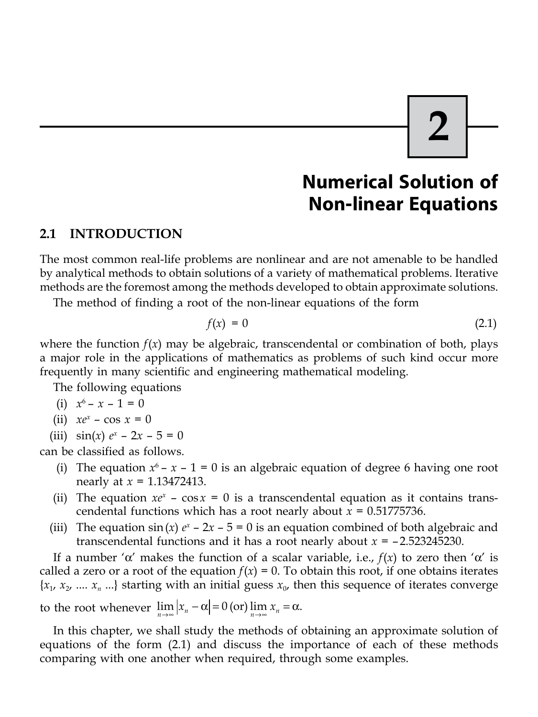# **2**

# **Numerical Solution of Non-linear Equations**

#### **2.1 INTRODUCTION**

The most common real-life problems are nonlinear and are not amenable to be handled by analytical methods to obtain solutions of a variety of mathematical problems. Iterative methods are the foremost among the methods developed to obtain approximate solutions.

The method of finding a root of the non-linear equations of the form

$$
f(x) = 0 \tag{2.1}
$$

where the function  $f(x)$  may be algebraic, transcendental or combination of both, plays a major role in the applications of mathematics as problems of such kind occur more frequently in many scientific and engineering mathematical modeling.

The following equations

(i) 
$$
x^6 - x - 1 = 0
$$

- (ii)  $xe^{x} \cos x = 0$
- (iii)  $\sin(x) e^x 2x 5 = 0$

can be classified as follows.

- (i) The equation  $x^6 x 1 = 0$  is an algebraic equation of degree 6 having one root nearly at *x* = 1.13472413.
- (ii) The equation  $xe^x \cos x = 0$  is a transcendental equation as it contains transcendental functions which has a root nearly about *x* = 0.51775736.
- (iii) The equation  $\sin(x) e^x 2x 5 = 0$  is an equation combined of both algebraic and transcendental functions and it has a root nearly about *x* = – 2.523245230.

If a number ' $\alpha'$  makes the function of a scalar variable, i.e.,  $f(x)$  to zero then ' $\alpha'$  is called a zero or a root of the equation  $f(x) = 0$ . To obtain this root, if one obtains iterates  ${x_1, x_2, ..., x_n}$   $\dots$  starting with an initial guess  ${x_0}$ , then this sequence of iterates converge to the root whenever  $\lim_{n\to\infty} |x_n - \alpha| = 0$  (or)  $\lim_{n\to\infty} x_n = \alpha$ .

In this chapter, we shall study the methods of obtaining an approximate solution of equations of the form (2.1) and discuss the importance of each of these methods comparing with one another when required, through some examples.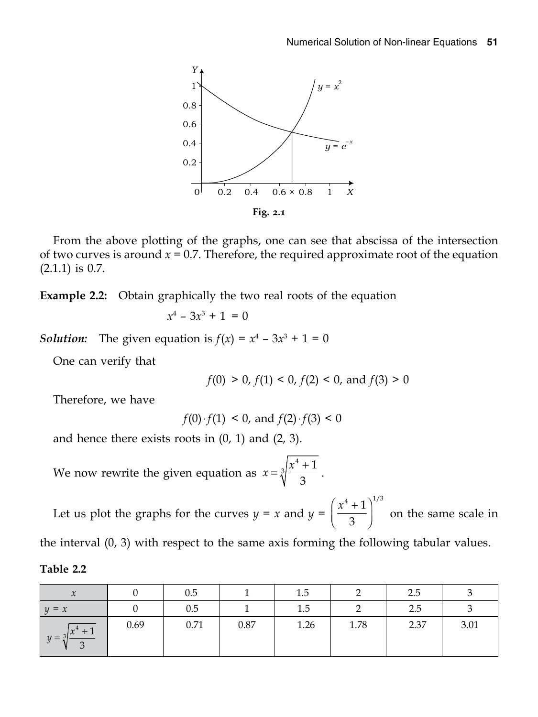

From the above plotting of the graphs, one can see that abscissa of the intersection of two curves is around  $x = 0.7$ . Therefore, the required approximate root of the equation (2.1.1) is 0.7.

**Example 2.2:** Obtain graphically the two real roots of the equation

$$
x^4 - 3x^3 + 1 = 0
$$

*Solution:* The given equation is  $f(x) = x^4 - 3x^3 + 1 = 0$ 

One can verify that

$$
f(0) > 0
$$
,  $f(1) < 0$ ,  $f(2) < 0$ , and  $f(3) > 0$ 

Therefore, we have

$$
f(0) \cdot f(1) < 0
$$
, and  $f(2) \cdot f(3) < 0$ 

and hence there exists roots in (0, 1) and (2, 3).

We now rewrite the given equation as  $x = \sqrt[3]{\frac{x}{n}}$  $3(x^4+1)$  $=\sqrt[3]{\frac{x^4+1}{3}}$ .

Let us plot the graphs for the curves  $y = x$  and  $y = \left(\frac{x^4 + 1}{2}\right)^{1/3}$ 3  $\left(\frac{x^4+1}{3}\right)^{1/3}$  on the same scale in

the interval (0, 3) with respect to the same axis forming the following tabular values.

| <b>Table</b> |  |
|--------------|--|
|--------------|--|

| $\boldsymbol{\mathcal{N}}$ |      | 0.5  |      | 1.5     |      | 2.5  |      |
|----------------------------|------|------|------|---------|------|------|------|
| $y = x$                    |      | 0.5  |      | $1.5\,$ |      | 2.5  |      |
| $\int x^4 + 1$<br>$11 =$   | 0.69 | 0.71 | 0.87 | 1.26    | 1.78 | 2.37 | 3.01 |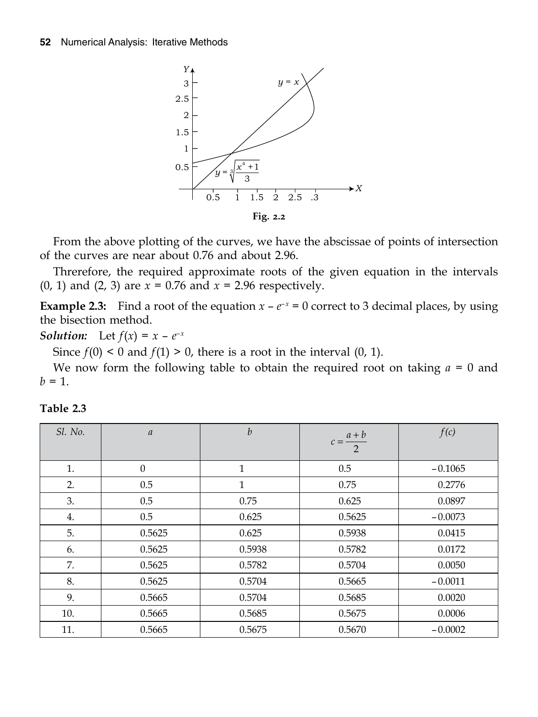

From the above plotting of the curves, we have the abscissae of points of intersection of the curves are near about 0.76 and about 2.96.

Threrefore, the required approximate roots of the given equation in the intervals (0, 1) and (2, 3) are *x* = 0.76 and *x* = 2.96 respectively.

**Example 2.3:** Find a root of the equation  $x - e^{-x} = 0$  correct to 3 decimal places, by using the bisection method.

**Solution:** Let 
$$
f(x) = x - e^{-x}
$$

Since  $f(0) < 0$  and  $f(1) > 0$ , there is a root in the interval  $(0, 1)$ .

We now form the following table to obtain the required root on taking *a* = 0 and  $b = 1$ .

| Sl. No. | $\boldsymbol{a}$ | $\boldsymbol{b}$ | $c = \frac{a+b}{2}$ | f(c)      |
|---------|------------------|------------------|---------------------|-----------|
| 1.      | $\Omega$         | 1                | 0.5                 | $-0.1065$ |
| 2.      | 0.5              | 1                | 0.75                | 0.2776    |
| 3.      | 0.5              | 0.75             | 0.625               | 0.0897    |
| 4.      | 0.5              | 0.625            | 0.5625              | $-0.0073$ |
| 5.      | 0.5625           | 0.625            | 0.5938              | 0.0415    |
| 6.      | 0.5625           | 0.5938           | 0.5782              | 0.0172    |
| 7.      | 0.5625           | 0.5782           | 0.5704              | 0.0050    |
| 8.      | 0.5625           | 0.5704           | 0.5665              | $-0.0011$ |
| 9.      | 0.5665           | 0.5704           | 0.5685              | 0.0020    |
| 10.     | 0.5665           | 0.5685           | 0.5675              | 0.0006    |
| 11.     | 0.5665           | 0.5675           | 0.5670              | $-0.0002$ |

| <b>Table</b> |  |
|--------------|--|
|--------------|--|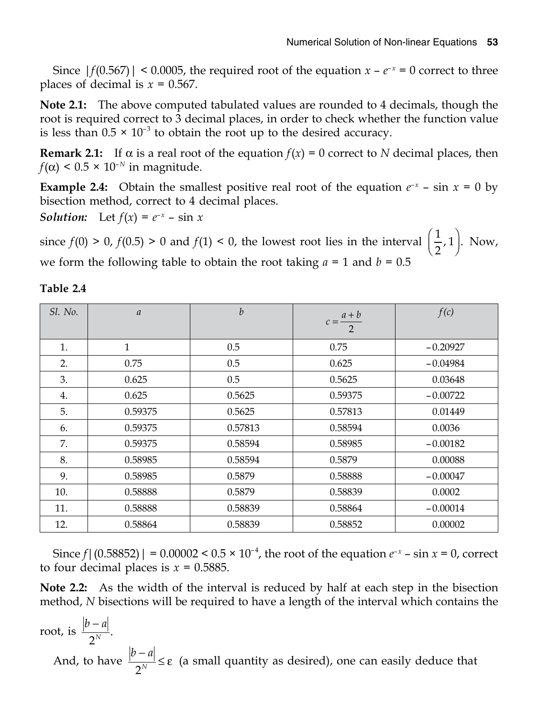Since  $|f(0.567)| \le 0.0005$ , the required root of the equation  $x - e^{-x} = 0$  correct to three places of decimal is  $x = 0.567$ .

**Note 2.1:** The above computed tabulated values are rounded to 4 decimals, though the root is required correct to 3 decimal places, in order to check whether the function value is less than  $0.5 \times 10^{-3}$  to obtain the root up to the desired accuracy.

**Remark 2.1:** If  $\alpha$  is a real root of the equation  $f(x) = 0$  correct to *N* decimal places, then  $f(\alpha)$  < 0.5 × 10<sup>-*N*</sup> in magnitude.

**Example 2.4:** Obtain the smallest positive real root of the equation  $e^{-x}$  – sin  $x = 0$  by bisection method, correct to 4 decimal places.

*Solution:* Let  $f(x) = e^{-x} - \sin x$ 

since  $f(0) > 0$ ,  $f(0.5) > 0$  and  $f(1) < 0$ , the lowest root lies in the interval  $\left(\frac{1}{2},1\right)$ .  $\left(\frac{1}{2},1\right)$ . Now, we form the following table to obtain the root taking  $a = 1$  and  $b = 0.5$ 

| Sl. No. | $\boldsymbol{a}$ | $\boldsymbol{b}$ | $c = \frac{a+b}{2}$ | f(c)       |
|---------|------------------|------------------|---------------------|------------|
| 1.      | $\mathbf{1}$     | 0.5              | 0.75                | $-0.20927$ |
| 2.      | 0.75             | 0.5              | 0.625               | $-0.04984$ |
| 3.      | 0.625            | 0.5              | 0.5625              | 0.03648    |
| 4.      | 0.625            | 0.5625           | 0.59375             | $-0.00722$ |
| 5.      | 0.59375          | 0.5625           | 0.57813             | 0.01449    |
| 6.      | 0.59375          | 0.57813          | 0.58594             | 0.0036     |
| 7.      | 0.59375          | 0.58594          | 0.58985             | $-0.00182$ |
| 8.      | 0.58985          | 0.58594          | 0.5879              | 0.00088    |
| 9.      | 0.58985          | 0.5879           | 0.58888             | $-0.00047$ |
| 10.     | 0.58888          | 0.5879           | 0.58839             | 0.0002     |
| 11.     | 0.58888          | 0.58839          | 0.58864             | $-0.00014$ |
| 12.     | 0.58864          | 0.58839          | 0.58852             | 0.00002    |

**Table 2.4**

Since  $f|(0.58852)| = 0.00002 < 0.5 \times 10^{-4}$ , the root of the equation  $e^{-x}$  – sin  $x = 0$ , correct to four decimal places is  $x = 0.5885$ .

**Note 2.2:** As the width of the interval is reduced by half at each step in the bisection method, *N* bisections will be required to have a length of the interval which contains the

root, is  $\frac{|b-a|}{2^N}$ . And, to have  $\frac{|b-a|}{2^N}$ 2  $\frac{|-a|}{\sqrt{N}} \leq \varepsilon$  (a small quantity as desired), one can easily deduce that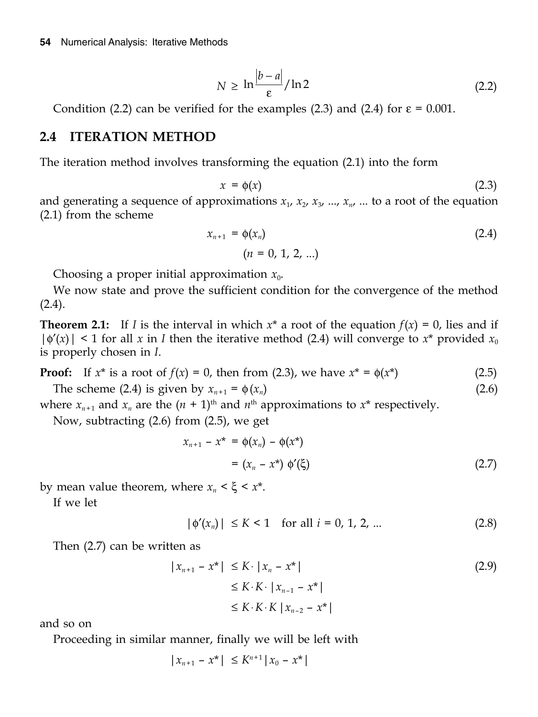$$
N \ge \ln \frac{|b-a|}{\varepsilon} / \ln 2 \tag{2.2}
$$

Condition (2.2) can be verified for the examples (2.3) and (2.4) for  $\varepsilon = 0.001$ .

#### **2.4 ITERATION METHOD**

The iteration method involves transforming the equation (2.1) into the form

$$
x = \phi(x) \tag{2.3}
$$

and generating a sequence of approximations  $x_1$ ,  $x_2$ ,  $x_3$ , ...,  $x_n$ , ... to a root of the equation (2.1) from the scheme

$$
x_{n+1} = \phi(x_n)
$$
  
(*n* = 0, 1, 2, ...) (2.4)

Choosing a proper initial approximation  $x_0$ .

We now state and prove the sufficient condition for the convergence of the method  $(2.4).$ 

**Theorem 2.1:** If *I* is the interval in which  $x^*$  a root of the equation  $f(x) = 0$ , lies and if  $|\phi'(x)| \leq 1$  for all x in *I* then the iterative method (2.4) will converge to  $x^*$  provided  $x_0$ is properly chosen in *I*.

**Proof:** If  $x^*$  is a root of  $f(x) = 0$ , then from (2.3), we have  $x^* = \phi(x^*)$  (2.5)

The scheme (2.4) is given by  $x_{n+1} = \phi(x_n)$  (2.6)

where  $x_{n+1}$  and  $x_n$  are the  $(n + 1)$ <sup>th</sup> and  $n$ <sup>th</sup> approximations to  $x^*$  respectively.

Now, subtracting (2.6) from (2.5), we get

$$
x_{n+1} - x^* = \phi(x_n) - \phi(x^*)
$$
  
=  $(x_n - x^*) \phi'(\xi)$  (2.7)

by mean value theorem, where  $x_n < \xi < x^*$ .

If we let

 $|\phi'(x_n)| \leq K < 1$  for all  $i = 0, 1, 2, ...$  (2.8)

Then (2.7) can be written as

$$
|x_{n+1} - x^*| \le K \cdot |x_n - x^*|
$$
  
\n
$$
\le K \cdot K \cdot |x_{n-1} - x^*|
$$
  
\n
$$
\le K \cdot K \cdot K |x_{n-2} - x^*|
$$
  
\n(2.9)

and so on

Proceeding in similar manner, finally we will be left with

$$
|x_{n+1} - x^*| \le K^{n+1} |x_0 - x^*|
$$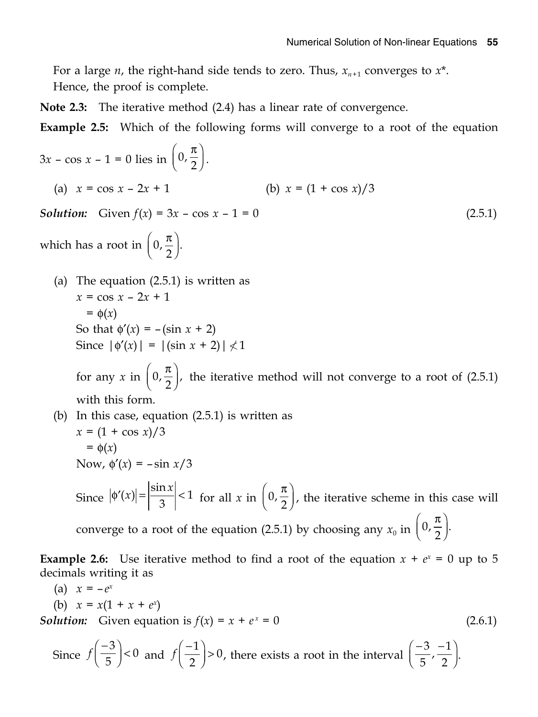For a large *n*, the right-hand side tends to zero. Thus,  $x_{n+1}$  converges to  $x^*$ . Hence, the proof is complete.

**Note 2.3:** The iterative method (2.4) has a linear rate of convergence.

**Example 2.5:** Which of the following forms will converge to a root of the equation

$$
3x - \cos x - 1 = 0 \text{ lies in } \left(0, \frac{\pi}{2}\right).
$$
\n(a)  $x = \cos x - 2x + 1$  (b)  $x = (1 + \cos x)/3$   
\nSolution: Given  $f(x) = 3x - \cos x - 1 = 0$  (2.5.1)  
\nwhich has a root in  $\left(0, \frac{\pi}{2}\right)$ .  
\n(a) The equation (2.5.1) is written as  
\n $x = \cos x - 2x + 1$   
\n $= \phi(x)$   
\nSo that  $\phi'(x) = -(\sin x + 2)$   
\nSince  $|\phi'(x)| = |(\sin x + 2)| \neq 1$   
\nfor any  $x$  in  $\left(0, \frac{\pi}{2}\right)$ , the iterative method will not converge to a root of (2.5.1)  
\nwith this form.  
\n(b) In this case, equation (2.5.1) is written as  
\n $x = (1 + \cos x)/3$ 

 $x = (1 + \cos x)/3$  $= \phi(x)$ Now,  $\phi'(x) = -\sin x/3$ Since  $|\phi'(x)| = \left|\frac{\sin x}{3}\right| < 1$  for all x in  $\left(0, \frac{\pi}{2}\right)$ , the iterative scheme in this case will converge to a root of the equation (2.5.1) by choosing any  $x_0$  in  $\left(0, \frac{\pi}{2}\right)$ .

**Example 2.6:** Use iterative method to find a root of the equation  $x + e^x = 0$  up to 5 decimals writing it as

(a) 
$$
x = -e^x
$$
  
\n(b)  $x = x(1 + x + e^x)$   
\nSolution: Given equation is  $f(x) = x + e^x = 0$  (2.6.1)

Since 
$$
f\left(\frac{-3}{5}\right) < 0
$$
 and  $f\left(\frac{-1}{2}\right) > 0$ , there exists a root in the interval  $\left(\frac{-3}{5}, \frac{-1}{2}\right)$ .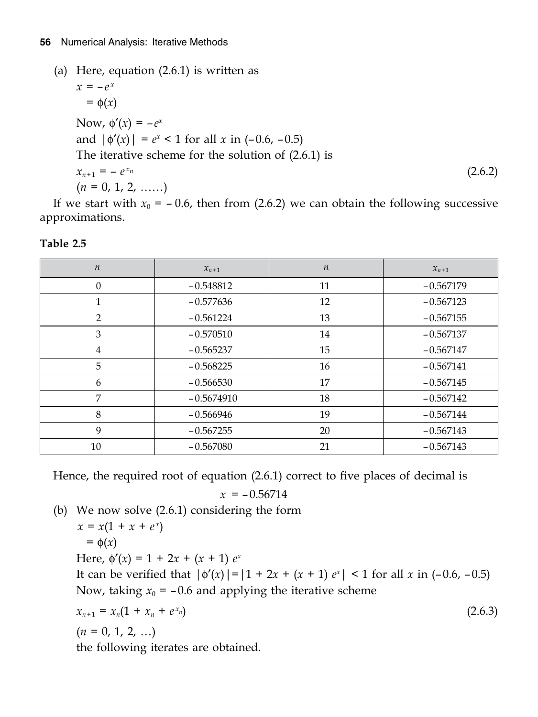```
(a) Here, equation (2.6.1) is written as
x = -e^x= \phi(x)Now, \phi'(x) = -e^xand |\phi'(x)| = e^x < 1 for all x in (-0.6, -0.5)
 The iterative scheme for the solution of (2.6.1) is
x_{n+1} = -e^{x_n} (2.6.2)
(n = 0, 1, 2, \ldots)
```
If we start with  $x_0 = -0.6$ , then from (2.6.2) we can obtain the following successive approximations.

| $\boldsymbol{n}$ | $x_{n+1}$    | $\boldsymbol{n}$ | $x_{n+1}$   |
|------------------|--------------|------------------|-------------|
| $\Omega$         | $-0.548812$  | 11               | $-0.567179$ |
| 1                | $-0.577636$  | 12               | $-0.567123$ |
| $\mathcal{P}$    | $-0.561224$  | 13               | $-0.567155$ |
| 3                | $-0.570510$  | 14               | $-0.567137$ |
| 4                | $-0.565237$  | 15               | $-0.567147$ |
| 5                | $-0.568225$  | 16               | $-0.567141$ |
| 6                | $-0.566530$  | 17               | $-0.567145$ |
| 7                | $-0.5674910$ | 18               | $-0.567142$ |
| 8                | $-0.566946$  | 19               | $-0.567144$ |
| 9                | $-0.567255$  | 20               | $-0.567143$ |
| 10               | $-0.567080$  | 21               | $-0.567143$ |

**Table 2.5**

Hence, the required root of equation (2.6.1) correct to five places of decimal is

 $x = -0.56714$ 

(b) We now solve (2.6.1) considering the form

$$
x = x(1 + x + ex)
$$
  
\n
$$
= \phi(x)
$$
  
\nHere,  $\phi'(x) = 1 + 2x + (x + 1) ex$   
\nIt can be verified that  $|\phi'(x)| = |1 + 2x + (x + 1) ex| < 1$  for all  $x$  in (-0.6, -0.5)  
\nNow, taking  $x_0 = -0.6$  and applying the iterative scheme  
\n
$$
x_{n+1} = x_n(1 + x_n + ex_n)
$$
\n(2.6.3)

 $(n = 0, 1, 2, ...)$ 

the following iterates are obtained.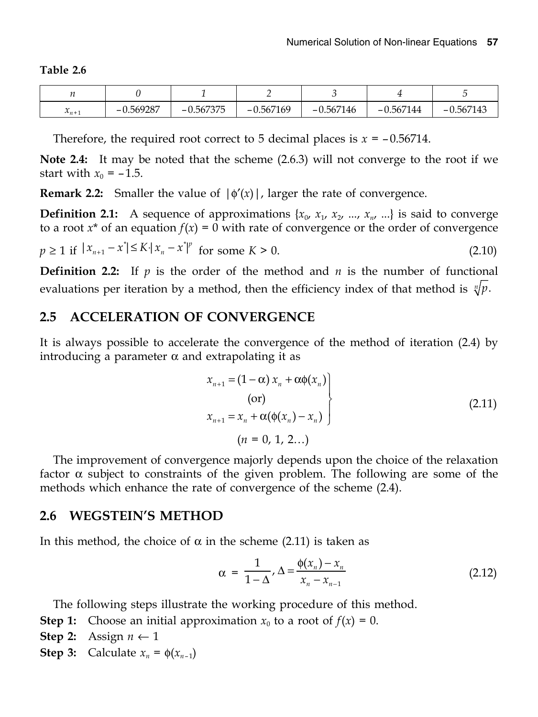**Table 2.6**

| $\sim$<br>$n_{n+1}$ | $-0.569287$ | $-0.567375$ | $-0.567169$ | $-0.567146$ | $-0.567144$ | $-0.567143$ |
|---------------------|-------------|-------------|-------------|-------------|-------------|-------------|

Therefore, the required root correct to 5 decimal places is  $x = -0.56714$ .

**Note 2.4:** It may be noted that the scheme (2.6.3) will not converge to the root if we start with  $x_0 = -1.5$ .

**Remark 2.2:** Smaller the value of  $|\phi'(x)|$ , larger the rate of convergence.

**Definition 2.1:** A sequence of approximations  $\{x_0, x_1, x_2, ..., x_n\}$  is said to converge to a root  $x^*$  of an equation  $f(x) = 0$  with rate of convergence or the order of convergence

 $p \ge 1$  if  $|x_{n+1} - x^*| \le K \cdot |x_n - x^*|^{p}$  for some  $K > 0$ . (2.10)

**Definition 2.2:** If  $p$  is the order of the method and  $n$  is the number of functional evaluations per iteration by a method, then the efficiency index of that method is  $\sqrt[n]{p}$ .

#### **2.5 ACCELERATION OF CONVERGENCE**

It is always possible to accelerate the convergence of the method of iteration (2.4) by introducing a parameter  $\alpha$  and extrapolating it as

$$
x_{n+1} = (1 - \alpha) x_n + \alpha \phi(x_n)
$$
  
(or)  

$$
x_{n+1} = x_n + \alpha (\phi(x_n) - x_n)
$$
  

$$
(n = 0, 1, 2...)
$$
 (2.11)

The improvement of convergence majorly depends upon the choice of the relaxation factor  $\alpha$  subject to constraints of the given problem. The following are some of the methods which enhance the rate of convergence of the scheme (2.4).

#### **2.6 WEGSTEIN'S METHOD**

In this method, the choice of  $\alpha$  in the scheme (2.11) is taken as

$$
\alpha = \frac{1}{1-\Delta}, \Delta = \frac{\phi(x_n) - x_n}{x_n - x_{n-1}} \tag{2.12}
$$

The following steps illustrate the working procedure of this method.

- **Step 1:** Choose an initial approximation  $x_0$  to a root of  $f(x) = 0$ .
- **Step 2:** Assign  $n \leftarrow 1$
- **Step 3:** Calculate  $x_n = \phi(x_{n-1})$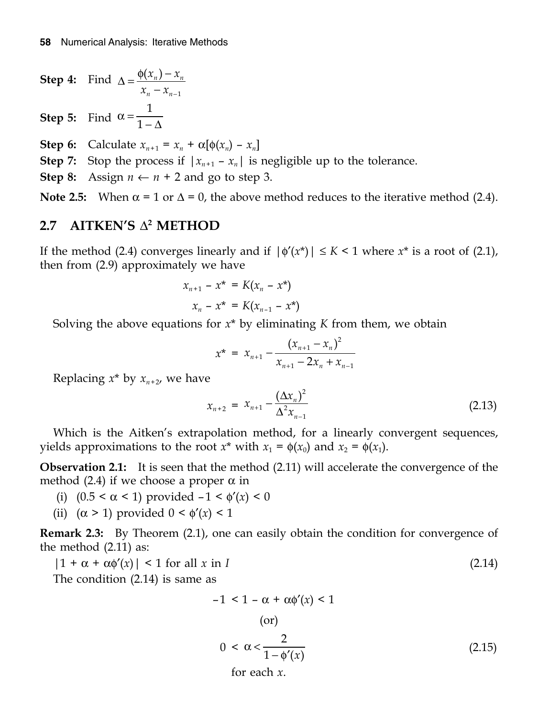**Step 4:** Find  $\Delta = \frac{\Psi(x_n) - x_n}{n}$ *n n*  $x_n$ ) – x  $x_n - x_{n-1}$  $(x_n)$  $\Delta = \frac{\Phi(x_n) - \lambda}{x_n - x_n}$ **Step 5:** Find 1 1  $\alpha =$  $-\Delta$ 

**Step 6:** Calculate  $x_{n+1} = x_n + \alpha[\phi(x_n) - x_n]$ 

**Step 7:** Stop the process if  $|x_{n+1} - x_n|$  is negligible up to the tolerance.

**Step 8:** Assign  $n \leftarrow n + 2$  and go to step 3.

**Note 2.5:** When  $\alpha = 1$  or  $\Delta = 0$ , the above method reduces to the iterative method (2.4).

#### **2.7** AITKEN'S  $\Delta^2$  METHOD

If the method (2.4) converges linearly and if  $|\phi'(x^*)| \leq K < 1$  where  $x^*$  is a root of (2.1), then from (2.9) approximately we have

$$
x_{n+1} - x^* = K(x_n - x^*)
$$
  

$$
x_n - x^* = K(x_{n-1} - x^*)
$$

Solving the above equations for  $x^*$  by eliminating  $K$  from them, we obtain

$$
x^* = x_{n+1} - \frac{(x_{n+1} - x_n)^2}{x_{n+1} - 2x_n + x_{n-1}}
$$

Replacing  $x^*$  by  $x_{n+2}$ , we have

$$
x_{n+2} = x_{n+1} - \frac{(\Delta x_n)^2}{\Delta^2 x_{n-1}}
$$
\n(2.13)

Which is the Aitken's extrapolation method, for a linearly convergent sequences, yields approximations to the root  $x^*$  with  $x_1 = \phi(x_0)$  and  $x_2 = \phi(x_1)$ .

**Observation 2.1:** It is seen that the method (2.11) will accelerate the convergence of the method (2.4) if we choose a proper  $\alpha$  in

- (i)  $(0.5 < \alpha < 1)$  provided  $-1 < \phi'(x) < 0$
- (ii)  $(\alpha > 1)$  provided  $0 < \phi'(x) < 1$

**Remark 2.3:** By Theorem (2.1), one can easily obtain the condition for convergence of the method (2.11) as:

$$
|1 + \alpha + \alpha \phi'(x)| < 1 \text{ for all } x \text{ in } I \tag{2.14}
$$

The condition (2.14) is same as

$$
-1 < 1 - \alpha + \alpha \phi'(x) < 1
$$
\n(or)

\n
$$
0 < \alpha < \frac{2}{1 - \phi'(x)}
$$
\n(2.15)

\nfor each *x*.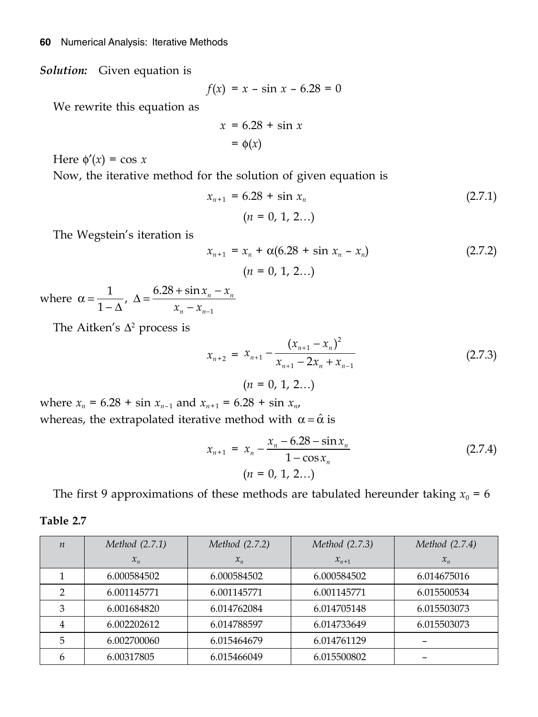*Solution:* Given equation is

$$
f(x) = x - \sin x - 6.28 = 0
$$

We rewrite this equation as

$$
x = 6.28 + \sin x
$$

$$
= \phi(x)
$$

Here  $\phi'(x) = \cos x$ 

Now, the iterative method for the solution of given equation is

$$
x_{n+1} = 6.28 + \sin x_n \tag{2.7.1}
$$
\n
$$
(n = 0, 1, 2...)
$$

The Wegstein's iteration is

$$
x_{n+1} = x_n + \alpha(6.28 + \sin x_n - x_n)
$$
  
(2.7.2)  

$$
(n = 0, 1, 2...)
$$

where  $\alpha = \frac{1}{1+\lambda}$ ,  $\Delta = \frac{0.20 + 3.01 \lambda_n - \lambda_n}{\lambda_n}$ *n n*  $x_n - x$  $\alpha = \frac{1}{1 - \Delta}$ ,  $\Delta = \frac{6.28 + \sin x_n - x_{n-1}}{x_n - x_{n-1}}$  $-\Delta'$   $x_n$  -

The Aitken's  $\Delta^2$  process is

**Table 2.7**

$$
x_{n+2} = x_{n+1} - \frac{(x_{n+1} - x_n)^2}{x_{n+1} - 2x_n + x_{n-1}}
$$
 (2.7.3)

 $(n = 0, 1, 2...)$ 

where  $x_n = 6.28 + \sin x_{n-1}$  and  $x_{n+1} = 6.28 + \sin x_n$ , whereas, the extrapolated iterative method with  $\alpha = \hat{\alpha}$  is

$$
x_{n+1} = x_n - \frac{x_n - 6.28 - \sin x_n}{1 - \cos x_n}
$$
  
(n = 0, 1, 2...) (2.7.4)

The first 9 approximations of these methods are tabulated hereunder taking  $x_0 = 6$ 

| $\boldsymbol{n}$ | <i>Method</i> (2.7.1) | <i>Method</i> (2.7.2) | Method (2.7.3) | Method (2.7.4) |
|------------------|-----------------------|-----------------------|----------------|----------------|
|                  | $x_{n}$               | $x_n$                 | $x_{n+1}$      | $x_{n}$        |
|                  | 6.000584502           | 6.000584502           | 6.000584502    | 6.014675016    |
| 2                | 6.001145771           | 6.001145771           | 6.001145771    | 6.015500534    |
| 3                | 6.001684820           | 6.014762084           | 6.014705148    | 6.015503073    |
| 4                | 6.002202612           | 6.014788597           | 6.014733649    | 6.015503073    |
| 5                | 6.002700060           | 6.015464679           | 6.014761129    |                |
| 6                | 6.00317805            | 6.015466049           | 6.015500802    |                |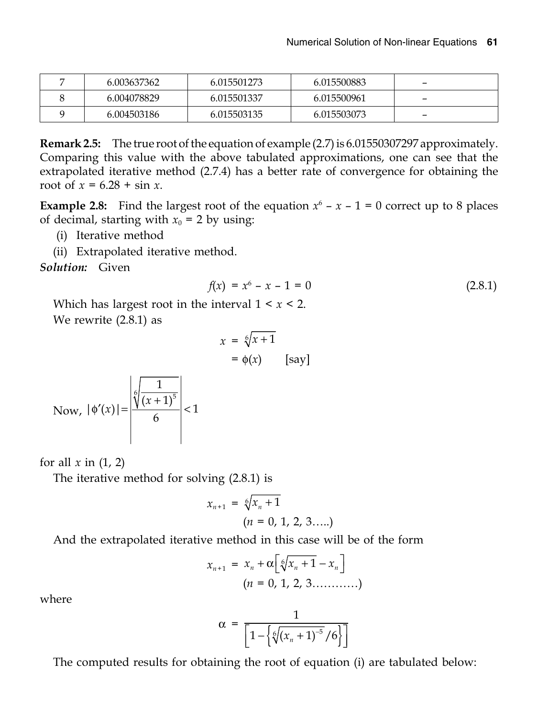| 6.003637362 | 6.015501273 | 6.015500883 | $\overline{\phantom{0}}$ |
|-------------|-------------|-------------|--------------------------|
| 6.004078829 | 6.015501337 | 6.015500961 | -                        |
| 6.004503186 | 6.015503135 | 6.015503073 | $\overline{\phantom{0}}$ |

**Remark 2.5:** The true root of the equation of example (2.7) is 6.01550307297 approximately. Comparing this value with the above tabulated approximations, one can see that the extrapolated iterative method (2.7.4) has a better rate of convergence for obtaining the root of  $x = 6.28 + \sin x$ .

**Example 2.8:** Find the largest root of the equation  $x^6 - x - 1 = 0$  correct up to 8 places of decimal, starting with  $x_0 = 2$  by using:

- (i) Iterative method
- (ii) Extrapolated iterative method.

*Solution:* Given

$$
f(x) = x^6 - x - 1 = 0 \tag{2.8.1}
$$

Which has largest root in the interval 1 < *x* < 2. We rewrite (2.8.1) as

$$
x = \sqrt[6]{x+1}
$$
  
=  $\phi(x)$  [say]

Now, 
$$
|\phi'(x)| = \left|\frac{\sqrt[6]{\frac{1}{(x+1)^5}}}{6}\right| < 1
$$

for all  $x$  in  $(1, 2)$ 

The iterative method for solving (2.8.1) is

$$
x_{n+1} = \sqrt[6]{x_n + 1}
$$
  
(*n* = 0, 1, 2, 3.....)

And the extrapolated iterative method in this case will be of the form

$$
x_{n+1} = x_n + \alpha \left[ \sqrt[6]{x_n + 1} - x_n \right]
$$
  
(*n* = 0, 1, 2, 3........... )

where

$$
\alpha = \frac{1}{\left[1-\left\{\sqrt[6]{\left(x_n+1\right)^{-5}}/6\right\}\right]}
$$

The computed results for obtaining the root of equation (i) are tabulated below: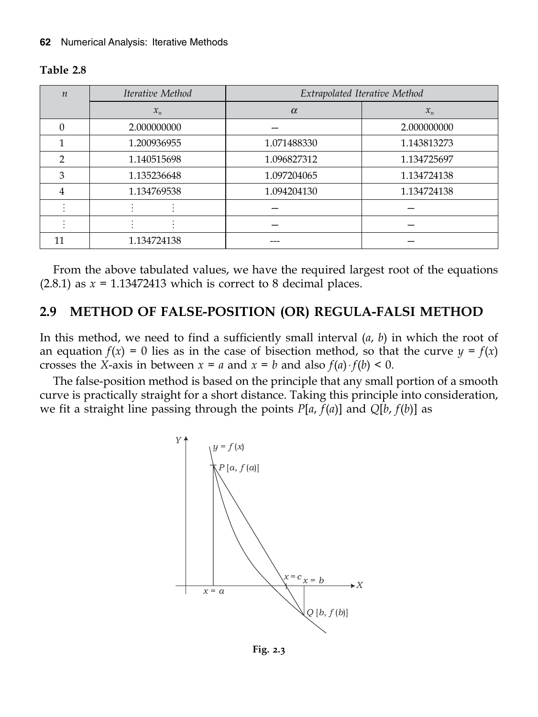#### **Table 2.8**

| $\boldsymbol{n}$ | Iterative Method | Extrapolated Iterative Method |             |
|------------------|------------------|-------------------------------|-------------|
|                  | $x_n$            | $\alpha$                      | $x_n$       |
| 0                | 2.000000000      |                               | 2.000000000 |
|                  | 1.200936955      | 1.071488330                   | 1.143813273 |
| $\mathcal{D}$    | 1.140515698      | 1.096827312                   | 1.134725697 |
| 3                | 1.135236648      | 1.097204065                   | 1.134724138 |
| 4                | 1.134769538      | 1.094204130                   | 1.134724138 |
|                  |                  |                               |             |
|                  |                  |                               |             |
| 11               | 1.134724138      |                               |             |

From the above tabulated values, we have the required largest root of the equations  $(2.8.1)$  as  $x = 1.13472413$  which is correct to 8 decimal places.

#### **2.9 METHOD OF FALSE-POSITION (OR) REGULA-FALSI METHOD**

In this method, we need to find a sufficiently small interval (*a*, *b*) in which the root of an equation  $f(x) = 0$  lies as in the case of bisection method, so that the curve  $y = f(x)$ crosses the *X*-axis in between  $x = a$  and  $x = b$  and also  $f(a) \cdot f(b) < 0$ .

The false-position method is based on the principle that any small portion of a smooth curve is practically straight for a short distance. Taking this principle into consideration, we fit a straight line passing through the points  $P[a, f(a)]$  and  $Q[b, f(b)]$  as



**Fig. 2.3**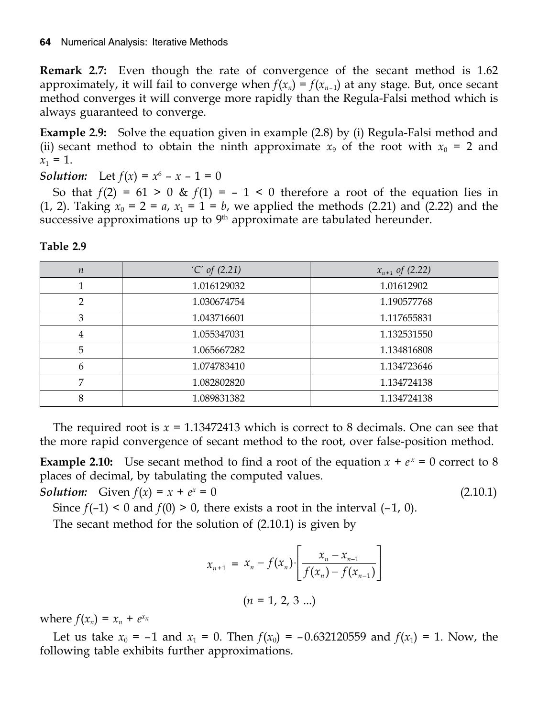**Remark 2.7:** Even though the rate of convergence of the secant method is 1.62 approximately, it will fail to converge when  $f(x_n) = f(x_{n-1})$  at any stage. But, once secant method converges it will converge more rapidly than the Regula-Falsi method which is always guaranteed to converge.

**Example 2.9:** Solve the equation given in example (2.8) by (i) Regula-Falsi method and (ii) secant method to obtain the ninth approximate  $x_9$  of the root with  $x_0 = 2$  and  $x_1 = 1$ .

*Solution:* Let  $f(x) = x^6 - x - 1 = 0$ 

So that  $f(2) = 61 > 0$  &  $f(1) = -1 < 0$  therefore a root of the equation lies in  $(1, 2)$ . Taking  $x_0 = 2 = a$ ,  $x_1 = 1 = b$ , we applied the methods  $(2.21)$  and  $(2.22)$  and the successive approximations up to  $9<sup>th</sup>$  approximate are tabulated hereunder.

| $\boldsymbol{n}$ | $'C'$ of $(2.21)$ | $x_{n+1}$ of (2.22) |
|------------------|-------------------|---------------------|
|                  | 1.016129032       | 1.01612902          |
| $\overline{2}$   | 1.030674754       | 1.190577768         |
| 3                | 1.043716601       | 1.117655831         |
| $\overline{4}$   | 1.055347031       | 1.132531550         |
| 5                | 1.065667282       | 1.134816808         |
| 6                | 1.074783410       | 1.134723646         |
| 7                | 1.082802820       | 1.134724138         |
| 8                | 1.089831382       | 1.134724138         |

#### **Table 2.9**

The required root is *x* = 1.13472413 which is correct to 8 decimals. One can see that the more rapid convergence of secant method to the root, over false-position method.

**Example 2.10:** Use secant method to find a root of the equation  $x + e^x = 0$  correct to 8 places of decimal, by tabulating the computed values.

*Solution:* Given  $f(x) = x + e^x = 0$ 

 $(2.10.1)$ 

Since  $f(-1) < 0$  and  $f(0) > 0$ , there exists a root in the interval  $(-1, 0)$ .

The secant method for the solution of (2.10.1) is given by

$$
x_{n+1} = x_n - f(x_n) \cdot \left[ \frac{x_n - x_{n-1}}{f(x_n) - f(x_{n-1})} \right]
$$
  
(*n* = 1, 2, 3 ...)

where  $f(x_n) = x_n + e^{x_n}$ 

Let us take  $x_0 = -1$  and  $x_1 = 0$ . Then  $f(x_0) = -0.632120559$  and  $f(x_1) = 1$ . Now, the following table exhibits further approximations.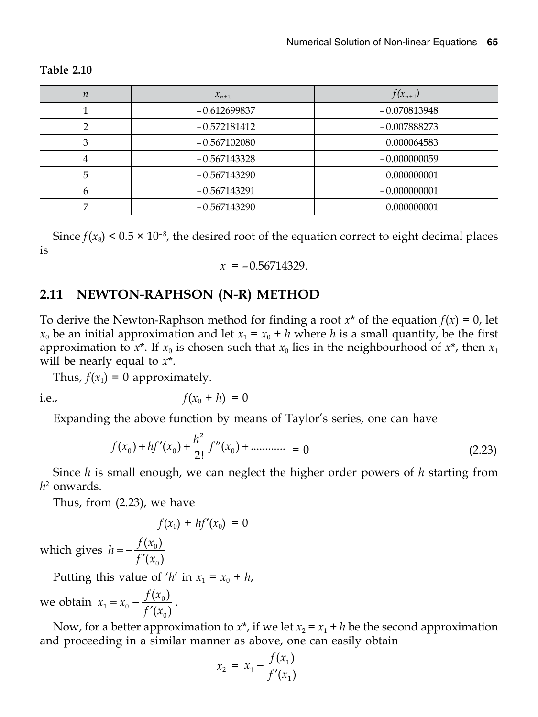| $\boldsymbol{n}$ | $x_{n+1}$      | $f(x_{n+1})$   |
|------------------|----------------|----------------|
|                  | $-0.612699837$ | $-0.070813948$ |
| ◠                | $-0.572181412$ | $-0.007888273$ |
| 3                | $-0.567102080$ | 0.000064583    |
| 4                | $-0.567143328$ | $-0.000000059$ |
| 5                | $-0.567143290$ | 0.000000001    |
| 6                | $-0.567143291$ | $-0.000000001$ |
|                  | $-0.567143290$ | 0.000000001    |

#### **Table 2.10**

Since  $f(x_8)$  < 0.5  $\times$  10<sup>-8</sup>, the desired root of the equation correct to eight decimal places is

$$
x = -0.56714329.
$$

#### **2.11 NEWTON-RAPHSON (N-R) METHOD**

To derive the Newton-Raphson method for finding a root  $x^*$  of the equation  $f(x) = 0$ , let  $x_0$  be an initial approximation and let  $x_1 = x_0 + h$  where *h* is a small quantity, be the first approximation to  $x^*$ . If  $x_0$  is chosen such that  $x_0$  lies in the neighbourhood of  $x^*$ , then  $x_1$ will be nearly equal to *x*\*.

Thus,  $f(x_1) = 0$  approximately.

i.e., 
$$
f(x_0 + h) = 0
$$

Expanding the above function by means of Taylor's series, one can have

$$
f(x_0) + hf'(x_0) + \frac{h^2}{2!}f''(x_0) + \dots \dots \dots = 0
$$
\n(2.23)

Since *h* is small enough, we can neglect the higher order powers of *h* starting from *h*2 onwards.

Thus, from (2.23), we have

$$
f(x_0) + hf'(x_0) = 0
$$

which gives  $h = -\frac{f(x_i)}{f'(x_i)}$  $\mathbf{0}$  $\mathbf{0}$  $=-\frac{f(x_0)}{f'(x_0)}$ 

Putting this value of '*h*' in  $x_1 = x_0 + h$ ,

we obtain  $x_1 = x_0 - \frac{f(x_0)}{f'(x_0)}$  $x_0 - \frac{f(x_0)}{f'(x_0)}$  $\mathbf{0}$  $= x_0 - \frac{f(x_0)}{f'(x_0)}.$ 

Now, for a better approximation to  $x^*$ , if we let  $x_2 = x_1 + h$  be the second approximation and proceeding in a similar manner as above, one can easily obtain

$$
x_2 = x_1 - \frac{f(x_1)}{f'(x_1)}
$$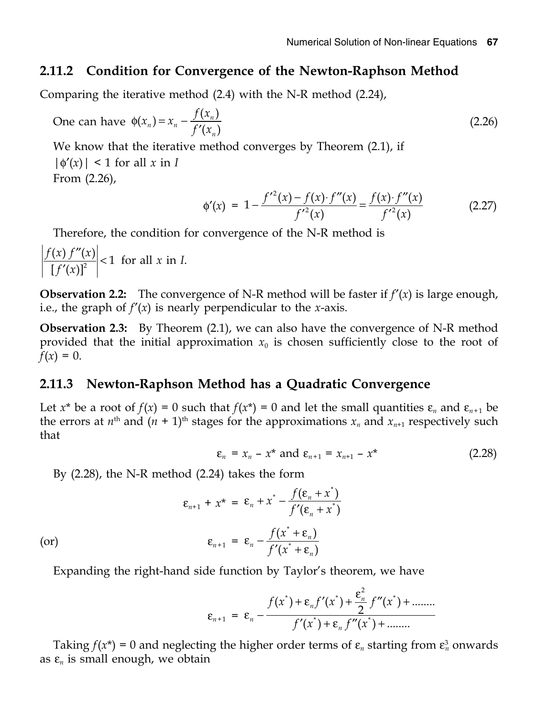#### **2.11.2 Condition for Convergence of the Newton-Raphson Method**

Comparing the iterative method (2.4) with the N-R method (2.24),

One can have 
$$
\phi(x_n) = x_n - \frac{f(x_n)}{f'(x_n)}
$$
 (2.26)

We know that the iterative method converges by Theorem (2.1), if  $|\phi'(x)|$  < 1 for all *x* in *I* From (2.26),

$$
\phi'(x) = 1 - \frac{f'^2(x) - f(x) \cdot f''(x)}{f'^2(x)} = \frac{f(x) \cdot f''(x)}{f'^2(x)} \tag{2.27}
$$

Therefore, the condition for convergence of the N-R method is

$$
\left|\frac{f(x) f''(x)}{[f'(x)]^2}\right| < 1 \text{ for all } x \text{ in } I.
$$

**Observation 2.2:** The convergence of N-R method will be faster if  $f'(x)$  is large enough, i.e., the graph of  $f'(x)$  is nearly perpendicular to the *x*-axis.

**Observation 2.3:** By Theorem (2.1), we can also have the convergence of N-R method provided that the initial approximation  $x_0$  is chosen sufficiently close to the root of  $f(x) = 0.$ 

#### **2.11.3 Newton-Raphson Method has a Quadratic Convergence**

Let  $x^*$  be a root of  $f(x) = 0$  such that  $f(x^*) = 0$  and let the small quantities  $\varepsilon_n$  and  $\varepsilon_{n+1}$  be the errors at  $n^{\text{th}}$  and  $(n + 1)^{\text{th}}$  stages for the approximations  $x_n$  and  $x_{n+1}$  respectively such that

$$
\varepsilon_n = x_n - x^* \text{ and } \varepsilon_{n+1} = x_{n+1} - x^* \tag{2.28}
$$

By (2.28), the N-R method (2.24) takes the form

$$
\varepsilon_{n+1} + x^* = \varepsilon_n + x^* - \frac{f(\varepsilon_n + x^*)}{f'(\varepsilon_n + x^*)}
$$
  
(or)  

$$
\varepsilon_{n+1} = \varepsilon_n - \frac{f(x^* + \varepsilon_n)}{f'(x^* + \varepsilon_n)}
$$

Expanding the right-hand side function by Taylor's theorem, we have

$$
\varepsilon_{n+1} = \varepsilon_n - \frac{f(x^*) + \varepsilon_n f'(x^*) + \frac{\varepsilon_n^2}{2} f''(x^*) + \dots}{f'(x^*) + \varepsilon_n f''(x^*) + \dots}
$$

Taking  $f(x^*) = 0$  and neglecting the higher order terms of  $\varepsilon_n$  starting from  $\varepsilon_n^3$  onwards as  $\varepsilon_n$  is small enough, we obtain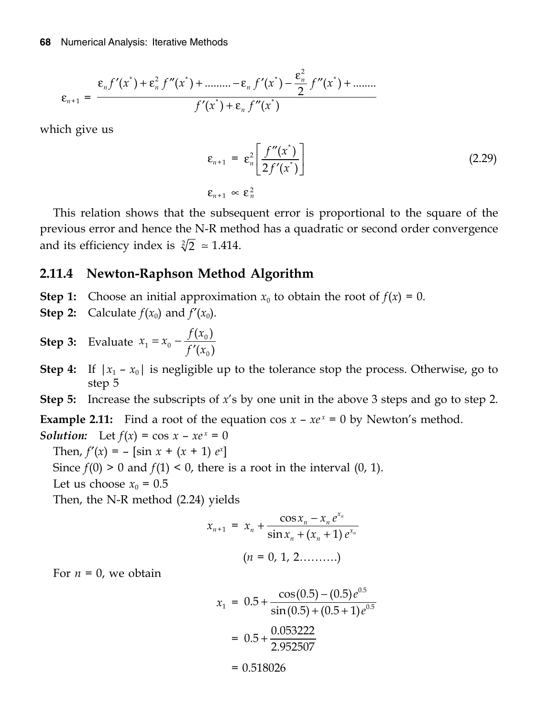$$
\varepsilon_{n+1} = \frac{\varepsilon_n f'(x^*) + \varepsilon_n^2 f''(x^*) + \dots + \varepsilon_n f'(x^*) - \frac{\varepsilon_n^2}{2} f''(x^*) + \dots}{f'(x^*) + \varepsilon_n f''(x^*)}
$$

which give us

$$
\varepsilon_{n+1} = \varepsilon_n^2 \left[ \frac{f''(x^*)}{2f'(x^*)} \right]
$$
\n
$$
\varepsilon_{n+1} \propto \varepsilon_n^2
$$
\n(2.29)

This relation shows that the subsequent error is proportional to the square of the previous error and hence the N-R method has a quadratic or second order convergence and its efficiency index is  $\sqrt[2]{2} \approx 1.414$ .

#### Newton-Raphson Method Algorithm 2.11.4

- **Step 1:** Choose an initial approximation  $x_0$  to obtain the root of  $f(x) = 0$ .
- **Step 2:** Calculate  $f(x_0)$  and  $f'(x_0)$ .

**Step 3:** Evaluate 
$$
x_1 = x_0 - \frac{f(x_0)}{f'(x_0)}
$$

**Step 4:** If  $|x_1 - x_0|$  is negligible up to the tolerance stop the process. Otherwise, go to step 5

**Step 5:** Increase the subscripts of  $x$ 's by one unit in the above 3 steps and go to step 2.

**Example 2.11:** Find a root of the equation  $\cos x - xe^x = 0$  by Newton's method.

**Solution:** Let  $f(x) = \cos x - xe^x = 0$ 

Then,  $f'(x) = -[\sin x + (x + 1) e^x]$ 

Since  $f(0) > 0$  and  $f(1) < 0$ , there is a root in the interval  $(0, 1)$ .

Let us choose  $x_0 = 0.5$ 

Then, the N-R method (2.24) yields

$$
x_{n+1} = x_n + \frac{\cos x_n - x_n e^{x_n}}{\sin x_n + (x_n + 1) e^{x_n}}
$$
  
(*n* = 0, 1, 2........])

For  $n = 0$ , we obtain

$$
x_1 = 0.5 + \frac{\cos(0.5) - (0.5)e^{0.5}}{\sin(0.5) + (0.5 + 1)e^{0.5}}
$$

$$
= 0.5 + \frac{0.053222}{2.952507}
$$

 $= 0.518026$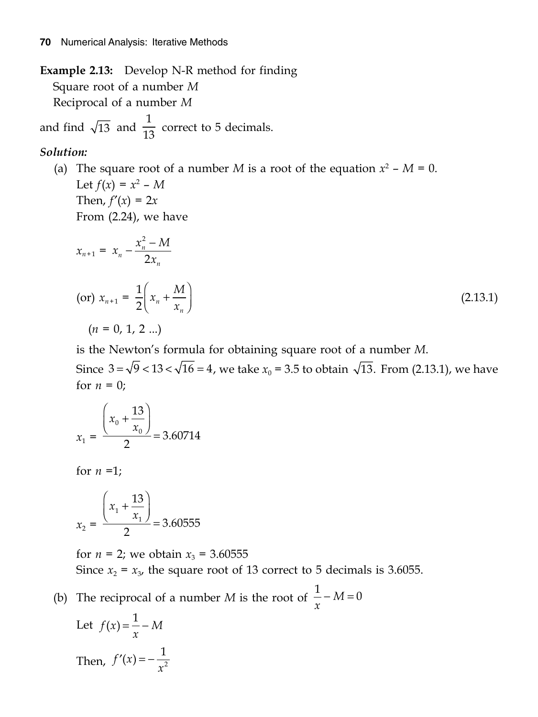Example 2.13: Develop N-R method for finding Square root of a number M Reciprocal of a number M

and find  $\sqrt{13}$  and  $\frac{1}{13}$  correct to 5 decimals.

#### Solution:

(a) The square root of a number *M* is a root of the equation  $x^2$  – *M* = 0. Let  $f(x) = x^2 - M$ Then,  $f'(x) = 2x$ From  $(2.24)$ , we have

$$
x_{n+1} = x_n - \frac{x_n^2 - M}{2x_n}
$$
  
(or)  $x_{n+1} = \frac{1}{2} \left( x_n + \frac{M}{x_n} \right)$   
(*n* = 0, 1, 2 ...) (2.13.1)

is the Newton's formula for obtaining square root of a number M.

Since  $3 = \sqrt{9} < 13 < \sqrt{16} = 4$ , we take  $x_0 = 3.5$  to obtain  $\sqrt{13}$ . From (2.13.1), we have for  $n = 0$ ;

$$
x_1 = \frac{\left(x_0 + \frac{13}{x_0}\right)}{2} = 3.60714
$$

for  $n = 1$ ;

$$
x_2 = \frac{\left(x_1 + \frac{13}{x_1}\right)}{2} = 3.60555
$$

for  $n = 2$ ; we obtain  $x_3 = 3.60555$ Since  $x_2 = x_3$ , the square root of 13 correct to 5 decimals is 3.6055.

(b) The reciprocal of a number *M* is the root of  $\frac{1}{x} - M = 0$ 

Let 
$$
f(x) = \frac{1}{x} - M
$$
  
Then,  $f'(x) = -\frac{1}{x^2}$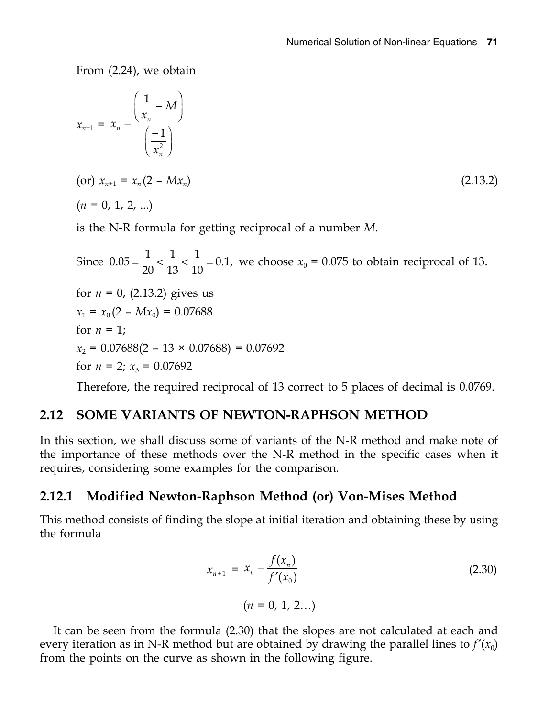From (2.24), we obtain

$$
x_{n+1} = x_n - \frac{\left(\frac{1}{x_n} - M\right)}{\left(\frac{-1}{x_n^2}\right)}
$$
  
(or)  $x_{n+1} = x_n (2 - Mx_n)$  (2.13.2)

 $(n = 0, 1, 2, ...)$ 

is the N-R formula for getting reciprocal of a number *M*.

Since  $0.05 = \frac{1}{20} < \frac{1}{13} < \frac{1}{10} = 0.1$ , we choose  $x_0 = 0.075$  to obtain reciprocal of 13. for  $n = 0$ , (2.13.2) gives us  $x_1 = x_0 (2 - Mx_0) = 0.07688$ for  $n = 1$ ;  $x_2 = 0.07688(2 - 13 \times 0.07688) = 0.07692$ for  $n = 2$ ;  $x_3 = 0.07692$ 

Therefore, the required reciprocal of 13 correct to 5 places of decimal is 0.0769.

#### **2.12 SOME VARIANTS OF NEWTON-RAPHSON METHOD**

In this section, we shall discuss some of variants of the N-R method and make note of the importance of these methods over the N-R method in the specific cases when it requires, considering some examples for the comparison.

## **2.12.1 Modified Newton-Raphson Method (or) Von-Mises Method**

This method consists of finding the slope at initial iteration and obtaining these by using the formula

$$
x_{n+1} = x_n - \frac{f(x_n)}{f'(x_0)}
$$
 (2.30)

$$
(n = 0, 1, 2...)
$$

It can be seen from the formula (2.30) that the slopes are not calculated at each and every iteration as in N-R method but are obtained by drawing the parallel lines to  $f'(x_0)$ from the points on the curve as shown in the following figure.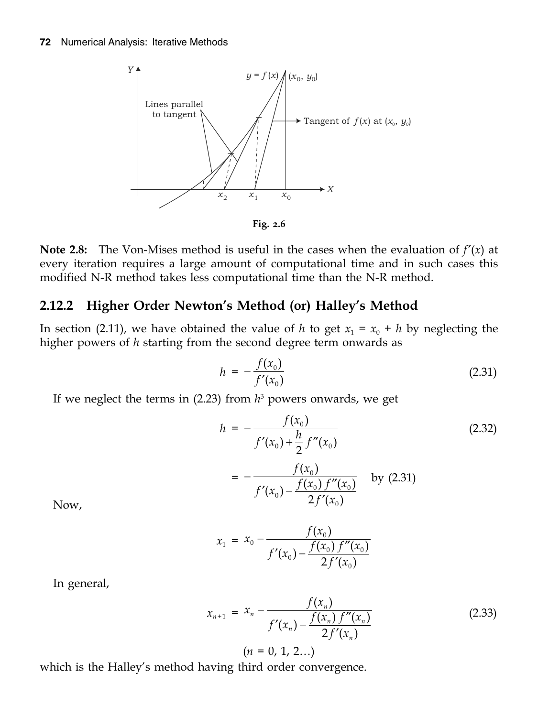

**Note 2.8:** The Von-Mises method is useful in the cases when the evaluation of  $f'(x)$  at every iteration requires a large amount of computational time and in such cases this modified N-R method takes less computational time than the N-R method.

#### **2.12.2 Higher Order Newton's Method (or) Halley's Method**

In section (2.11), we have obtained the value of *h* to get  $x_1 = x_0 + h$  by neglecting the higher powers of *h* starting from the second degree term onwards as

$$
h = -\frac{f(x_0)}{f'(x_0)}\tag{2.31}
$$

If we neglect the terms in (2.23) from *h*<sup>3</sup> powers onwards, we get

$$
h = -\frac{f(x_0)}{f'(x_0) + \frac{h}{2}f''(x_0)}
$$
  
= 
$$
-\frac{f(x_0)}{f'(x_0) - \frac{f(x_0)f''(x_0)}{2f'(x_0)}}
$$
 by (2.31)

Now,

$$
x_1 = x_0 - \frac{f(x_0)}{f'(x_0) - \frac{f(x_0) f''(x_0)}{2f'(x_0)}}
$$

In general,

$$
x_{n+1} = x_n - \frac{f(x_n)}{f'(x_n) - \frac{f(x_n) f''(x_n)}{2f'(x_n)}}
$$
(2.33)  

$$
(n = 0, 1, 2...)
$$

which is the Halley's method having third order convergence.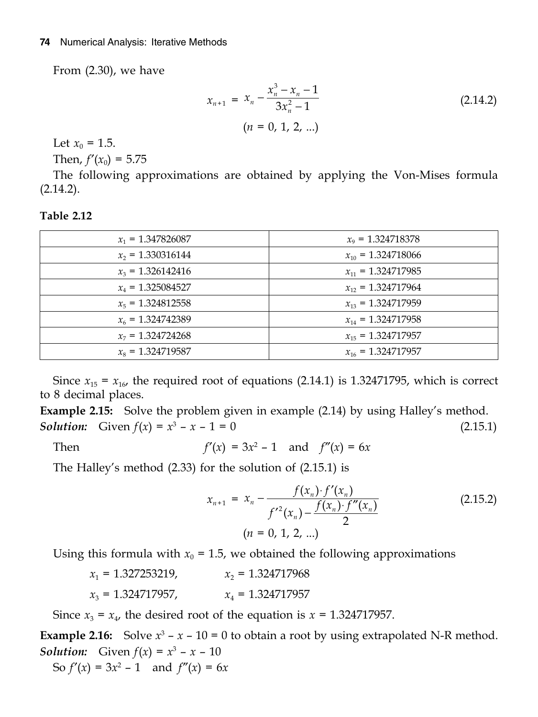From (2.30), we have

$$
x_{n+1} = x_n - \frac{x_n^3 - x_n - 1}{3x_n^2 - 1}
$$
 (2.14.2)  
\n
$$
(n = 0, 1, 2, ...)
$$

Let  $x_0 = 1.5$ .

Then,  $f'(x_0) = 5.75$ 

The following approximations are obtained by applying the Von-Mises formula  $(2.14.2).$ 

| $x_1 = 1.347826087$ | $x_9$ = 1.324718378    |
|---------------------|------------------------|
| $x_2$ = 1.330316144 | $x_{10} = 1.324718066$ |
| $x_3 = 1.326142416$ | $x_{11} = 1.324717985$ |
| $x_4$ = 1.325084527 | $x_{12} = 1.324717964$ |
| $x_5 = 1.324812558$ | $x_{13} = 1.324717959$ |
| $x_6 = 1.324742389$ | $x_{14} = 1.324717958$ |
| $x_7 = 1.324724268$ | $x_{15} = 1.324717957$ |
| $x_8 = 1.324719587$ | $x_{16} = 1.324717957$ |
|                     |                        |

**Table 2.12**

Since  $x_{15} = x_{16}$ , the required root of equations (2.14.1) is 1.32471795, which is correct to 8 decimal places.

**Example 2.15:** Solve the problem given in example (2.14) by using Halley's method. *Solution:* Given  $f(x) = x^3 - x - 1 = 0$  (2.15.1)

Then  $f'(x) = 3x^2 - 1$  and  $f''(x) = 6x$ 

The Halley's method (2.33) for the solution of (2.15.1) is

$$
x_{n+1} = x_n - \frac{f(x_n) \cdot f'(x_n)}{f'^2(x_n) - \frac{f(x_n) \cdot f''(x_n)}{2}}
$$
  
(*n* = 0, 1, 2, ...) (2.15.2)

Using this formula with  $x_0 = 1.5$ , we obtained the following approximations

| $x_1 = 1.327253219$ , | $x_2$ = 1.324717968 |
|-----------------------|---------------------|
| $x_3 = 1.324717957$ , | $x_4 = 1.324717957$ |

Since  $x_3 = x_4$ , the desired root of the equation is  $x = 1.324717957$ .

**Example 2.16:** Solve  $x^3 - x - 10 = 0$  to obtain a root by using extrapolated N-R method. *Solution:* Given  $f(x) = x^3 - x - 10$ So  $f'(x) = 3x^2 - 1$  and  $f''(x) = 6x$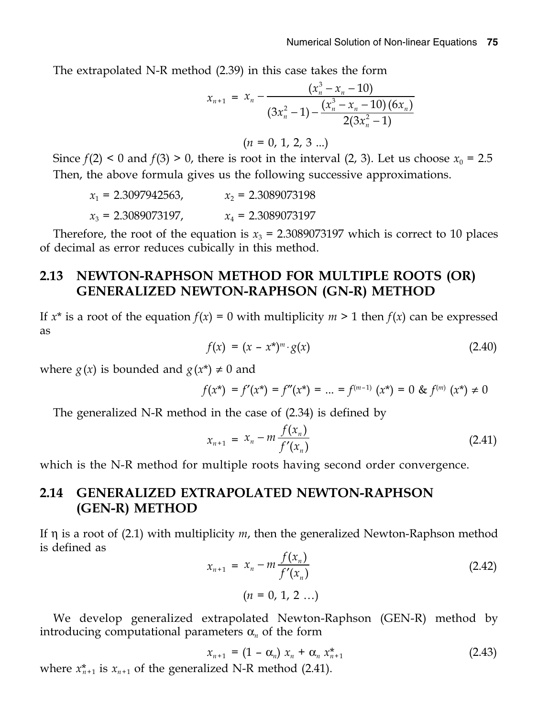The extrapolated N-R method (2.39) in this case takes the form

$$
x_{n+1} = x_n - \frac{(x_n^3 - x_n - 10)}{(3x_n^2 - 1) - \frac{(x_n^3 - x_n - 10)(6x_n)}{2(3x_n^2 - 1)}}
$$

 $(n = 0, 1, 2, 3 ...)$ 

Since  $f(2) < 0$  and  $f(3) > 0$ , there is root in the interval  $(2, 3)$ . Let us choose  $x_0 = 2.5$ Then, the above formula gives us the following successive approximations.

 $x_1 = 2.3097942563,$   $x_2 = 2.3089073198$  $x_3 = 2.3089073197$ ,  $x_4 = 2.3089073197$ 

Therefore, the root of the equation is  $x_3 = 2.3089073197$  which is correct to 10 places of decimal as error reduces cubically in this method.

#### **2.13 NEWTON-RAPHSON METHOD FOR MULTIPLE ROOTS (OR) GENERALIZED NEWTON-RAPHSON (GN-R) METHOD**

If  $x^*$  is a root of the equation  $f(x) = 0$  with multiplicity  $m \geq 1$  then  $f(x)$  can be expressed as

$$
f(x) = (x - x^*)^m \cdot g(x)
$$
 (2.40)

where  $g(x)$  is bounded and  $g(x^*) \neq 0$  and

$$
f(x^*) = f'(x^*) = f''(x^*) = \dots = f^{(m-1)}(x^*) = 0 \& f^{(m)}(x^*) \neq 0
$$

The generalized N-R method in the case of (2.34) is defined by

$$
x_{n+1} = x_n - m \frac{f(x_n)}{f'(x_n)}
$$
 (2.41)

which is the N-R method for multiple roots having second order convergence.

#### **2.14 GENERALIZED EXTRAPOLATED NEWTON-RAPHSON (GEN-R) METHOD**

If  $\eta$  is a root of (2.1) with multiplicity  $m$ , then the generalized Newton-Raphson method is defined as

$$
x_{n+1} = x_n - m \frac{f(x_n)}{f'(x_n)}
$$
  
(n = 0, 1, 2 ...) (2.42)

We develop generalized extrapolated Newton-Raphson (GEN-R) method by introducing computational parameters  $\alpha_n$  of the form

$$
x_{n+1} = (1 - \alpha_n) x_n + \alpha_n x_{n+1}^*
$$
 (2.43)

where  $x_{n+1}^*$  is  $x_{n+1}$  of the generalized N-R method (2.41).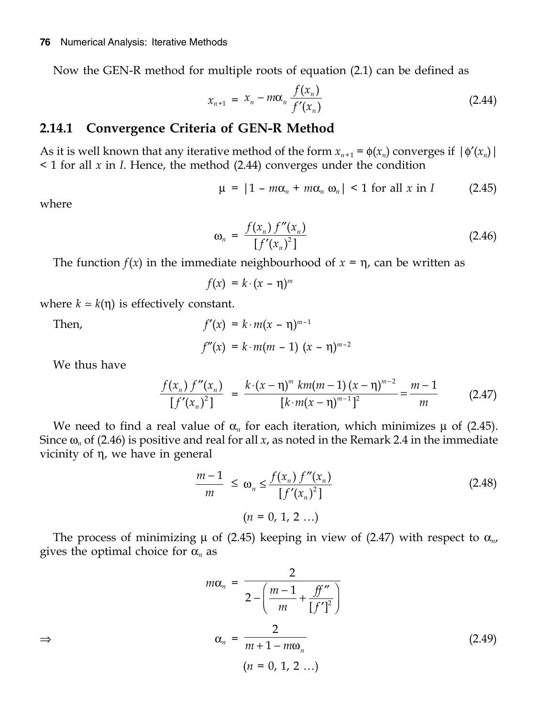Now the GEN-R method for multiple roots of equation (2.1) can be defined as

$$
x_{n+1} = x_n - m\alpha_n \frac{f(x_n)}{f'(x_n)}
$$
 (2.44)

#### **2.14.1 Convergence Criteria of GEN-R Method**

As it is well known that any iterative method of the form  $x_{n+1} = \phi(x_n)$  converges if  $|\phi'(x_n)|$ < 1 for all *x* in *I*. Hence, the method (2.44) converges under the condition

$$
\mu = |1 - m\alpha_n + m\alpha_n \omega_n| < 1 \text{ for all } x \text{ in } I \tag{2.45}
$$

where

$$
\omega_n = \frac{f(x_n) f''(x_n)}{[f'(x_n)^2]}
$$
 (2.46)

The function  $f(x)$  in the immediate neighbourhood of  $x = \eta$ , can be written as

 $f(x) = k \cdot (x - \eta)^m$ 

where  $k \approx k(\eta)$  is effectively constant.

Then,  
\n
$$
f'(x) = k \cdot m(x - \eta)^{m-1}
$$
\n
$$
f''(x) = k \cdot m(m-1) (x - \eta)^{m-2}
$$

We thus have

$$
\frac{f(x_n) f''(x_n)}{[f'(x_n)^2]} = \frac{k \cdot (x - \eta)^m \, km(m - 1) (x - \eta)^{m - 2}}{[k \cdot m(x - \eta)^{m - 1}]^2} = \frac{m - 1}{m} \tag{2.47}
$$

We need to find a real value of  $\alpha_n$  for each iteration, which minimizes  $\mu$  of (2.45). Since  $\omega_n$  of (2.46) is positive and real for all *x*, as noted in the Remark 2.4 in the immediate vicinity of  $\eta$ , we have in general

$$
\frac{m-1}{m} \le \omega_n \le \frac{f(x_n) f''(x_n)}{[f'(x_n)^2]}
$$
\n
$$
(n = 0, 1, 2 ...)
$$
\n(2.48)

The process of minimizing  $\mu$  of (2.45) keeping in view of (2.47) with respect to  $\alpha_{n}$ , gives the optimal choice for  $\alpha_n$  as

$$
m\alpha_n = \frac{2}{2 - \left(\frac{m-1}{m} + \frac{ff''}{[f']^2}\right)}
$$
  
\n
$$
\Rightarrow \qquad \alpha_n = \frac{2}{m+1 - m\omega_n}
$$
  
\n
$$
(n = 0, 1, 2 ...)
$$
  
\n(2.49)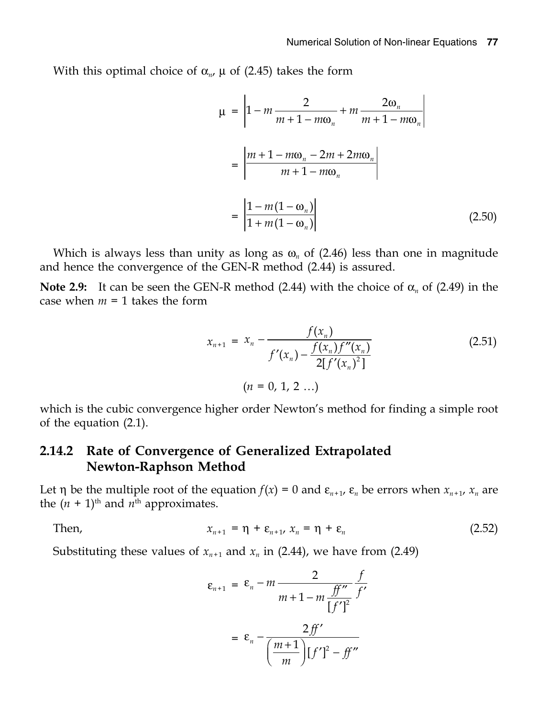With this optimal choice of  $\alpha_{n}$ ,  $\mu$  of (2.45) takes the form

$$
\mu = \left| 1 - m \frac{2}{m + 1 - m\omega_n} + m \frac{2\omega_n}{m + 1 - m\omega_n} \right|
$$
  
= 
$$
\left| \frac{m + 1 - m\omega_n - 2m + 2m\omega_n}{m + 1 - m\omega_n} \right|
$$
  
= 
$$
\left| \frac{1 - m(1 - \omega_n)}{1 + m(1 - \omega_n)} \right|
$$
 (2.50)

Which is always less than unity as long as  $\omega_n$  of (2.46) less than one in magnitude and hence the convergence of the GEN-R method (2.44) is assured.

**Note 2.9:** It can be seen the GEN-R method (2.44) with the choice of  $\alpha_n$  of (2.49) in the case when  $m = 1$  takes the form

$$
x_{n+1} = x_n - \frac{f(x_n)}{f'(x_n) - \frac{f(x_n)f''(x_n)}{2[f'(x_n)^2]}}
$$
(2.51)  

$$
(n = 0, 1, 2 ...)
$$

which is the cubic convergence higher order Newton's method for finding a simple root of the equation (2.1).

#### **2.14.2 Rate of Convergence of Generalized Extrapolated Newton-Raphson Method**

Let  $\eta$  be the multiple root of the equation  $f(x) = 0$  and  $\varepsilon_{n+1}$ ,  $\varepsilon_n$  be errors when  $x_{n+1}$ ,  $x_n$  are the  $(n + 1)$ <sup>th</sup> and  $n$ <sup>th</sup> approximates.

Then,  $x_{n+1} = \eta + \varepsilon_{n+1}, x_n = \eta + \varepsilon_n$  (2.52)

Substituting these values of  $x_{n+1}$  and  $x_n$  in (2.44), we have from (2.49)

$$
\varepsilon_{n+1} = \varepsilon_n - m \frac{2}{m+1-m} \frac{f'}{\left[f'\right]^2} \frac{f'}{f'}
$$

$$
= \varepsilon_n - \frac{2ff'}{\left(\frac{m+1}{m}\right)\left[f'\right]^2 - ff''}
$$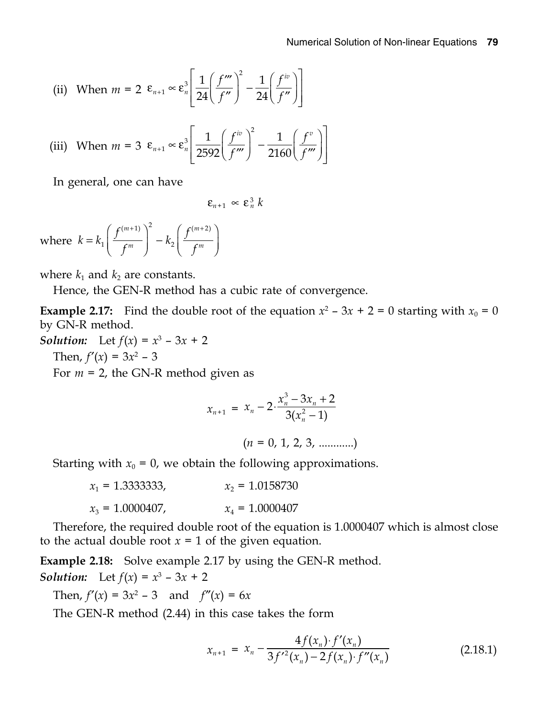(ii) When 
$$
m = 2 \varepsilon_{n+1} \propto \varepsilon_n^3 \left[ \frac{1}{24} \left( \frac{f'''}{f''} \right)^2 - \frac{1}{24} \left( \frac{f^{iv}}{f''} \right) \right]
$$

(iii) When 
$$
m = 3 \ \epsilon_{n+1} \propto \epsilon_n^3 \left[ \frac{1}{2592} \left( \frac{f^w}{f^w} \right)^2 - \frac{1}{2160} \left( \frac{f^v}{f^w} \right) \right]
$$

In general, one can have

$$
\varepsilon_{n+1} \propto \varepsilon_n^3 k
$$

where  $(m+1)$ <sup>2</sup>  $\qquad \qquad$   $\qquad$  $k = k_1 \left( \frac{f^{(m+1)}}{f^m} \right)^2 - k_2 \left( \frac{f^{(m+1)}}{f^m} \right)^2$ *f*<sup>*m*</sup> *f f*  $(m+1)\big)^2$   $\qquad \int f(m+2)$  $= k_1 \left( \frac{f^{(m+1)}}{f^m} \right)^2 - k_2 \left( \frac{f^{(m+2)}}{f^m} \right)^2$ 

where  $k_1$  and  $k_2$  are constants.

Hence, the GEN-R method has a cubic rate of convergence.

**Example 2.17:** Find the double root of the equation  $x^2 - 3x + 2 = 0$  starting with  $x_0 = 0$ by GN-R method.

*Solution:* Let  $f(x) = x^3 - 3x + 2$ Then,  $f'(x) = 3x^2 - 3$ For *m* = 2, the GN-R method given as

$$
x_{n+1} = x_n - 2 \cdot \frac{x_n^3 - 3x_n + 2}{3(x_n^2 - 1)}
$$

 $(n = 0, 1, 2, 3, \ldots)$ 

Starting with  $x_0 = 0$ , we obtain the following approximations.

| $x_1 = 1.3333333$ , | $x_2 = 1.0158730$ |
|---------------------|-------------------|
| $x_3 = 1.0000407$ , | $x_4 = 1.0000407$ |

Therefore, the required double root of the equation is 1.0000407 which is almost close to the actual double root  $x = 1$  of the given equation.

**Example 2.18:** Solve example 2.17 by using the GEN-R method. *Solution:* Let  $f(x) = x^3 - 3x + 2$ 

Then,  $f'(x) = 3x^2 - 3$  and  $f''(x) = 6x$ 

The GEN-R method (2.44) in this case takes the form

$$
x_{n+1} = x_n - \frac{4f(x_n) \cdot f'(x_n)}{3f'^2(x_n) - 2f(x_n) \cdot f''(x_n)}
$$
(2.18.1)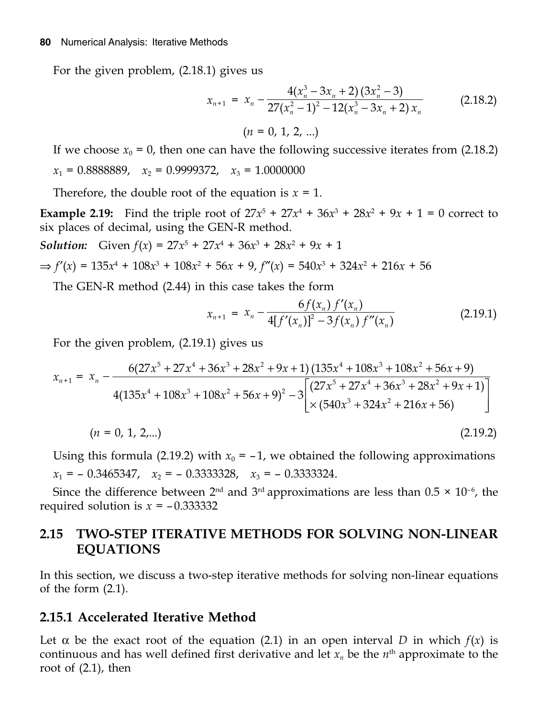For the given problem, (2.18.1) gives us

$$
x_{n+1} = x_n - \frac{4(x_n^3 - 3x_n + 2)(3x_n^2 - 3)}{27(x_n^2 - 1)^2 - 12(x_n^3 - 3x_n + 2)x_n}
$$
 (2.18.2)  
\n
$$
(n = 0, 1, 2, ...)
$$

If we choose  $x_0 = 0$ , then one can have the following successive iterates from (2.18.2)  $x_1 = 0.8888889$ ,  $x_2 = 0.9999372$ ,  $x_3 = 1.0000000$ 

Therefore, the double root of the equation is  $x = 1$ .

**Example 2.19:** Find the triple root of  $27x^5 + 27x^4 + 36x^3 + 28x^2 + 9x + 1 = 0$  correct to six places of decimal, using the GEN-R method.

*Solution:* Given  $f(x) = 27x^5 + 27x^4 + 36x^3 + 28x^2 + 9x + 1$ 

$$
\Rightarrow f'(x) = 135x^4 + 108x^3 + 108x^2 + 56x + 9, f''(x) = 540x^3 + 324x^2 + 216x + 56
$$

The GEN-R method (2.44) in this case takes the form

$$
x_{n+1} = x_n - \frac{6f(x_n) f'(x_n)}{4[f'(x_n)]^2 - 3f(x_n) f''(x_n)}
$$
(2.19.1)

For the given problem, (2.19.1) gives us

$$
x_{n+1} = x_n - \frac{6(27x^5 + 27x^4 + 36x^3 + 28x^2 + 9x + 1)(135x^4 + 108x^3 + 108x^2 + 56x + 9)}{4(135x^4 + 108x^3 + 108x^2 + 56x + 9)^2 - 3\left[\frac{(27x^5 + 27x^4 + 36x^3 + 28x^2 + 9x + 1)}{\times(540x^3 + 324x^2 + 216x + 56)}\right]}
$$
\n(*n* = 0, 1, 2,...)\n(2.19.2)

Using this formula (2.19.2) with  $x_0 = -1$ , we obtained the following approximations  $x_1 = -0.3465347$ ,  $x_2 = -0.3333328$ ,  $x_3 = -0.3333324$ .

Since the difference between  $2<sup>nd</sup>$  and  $3<sup>rd</sup>$  approximations are less than  $0.5 \times 10<sup>-6</sup>$ , the required solution is  $x = -0.333332$ 

### **2.15 TWO-STEP ITERATIVE METHODS FOR SOLVING NON-LINEAR EQUATIONS**

In this section, we discuss a two-step iterative methods for solving non-linear equations of the form (2.1).

#### **2.15.1 Accelerated Iterative Method**

Let  $\alpha$  be the exact root of the equation (2.1) in an open interval *D* in which  $f(x)$  is continuous and has well defined first derivative and let  $x_n$  be the  $n<sup>th</sup>$  approximate to the root of  $(2.1)$ , then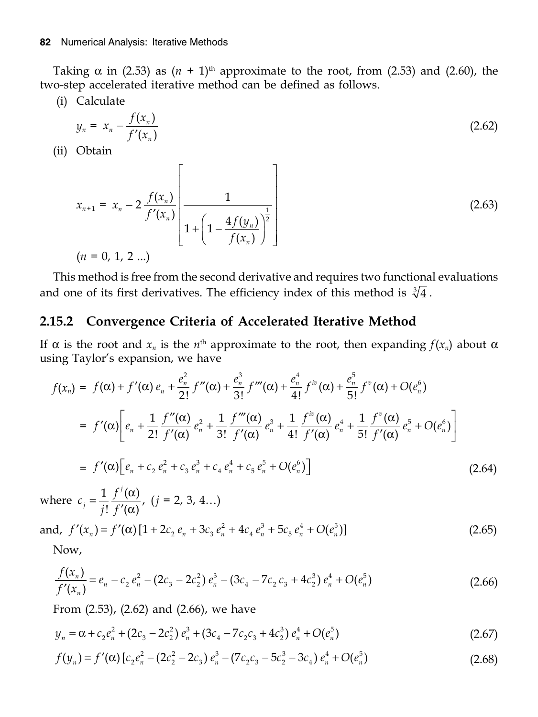Taking  $\alpha$  in (2.53) as  $(n + 1)$ <sup>th</sup> approximate to the root, from (2.53) and (2.60), the two-step accelerated iterative method can be defined as follows.

(i) Calculate

$$
y_n = x_n - \frac{f(x_n)}{f'(x_n)}
$$
 (2.62)

(ii) Obtain

$$
x_{n+1} = x_n - 2 \frac{f(x_n)}{f'(x_n)} \left[ \frac{1}{1 + \left(1 - \frac{4f(y_n)}{f(x_n)}\right)^{\frac{1}{2}}} \right]
$$
(2.63)  
(*n* = 0, 1, 2 ...)

This method is free from the second derivative and requires two functional evaluations and one of its first derivatives. The efficiency index of this method is  $\sqrt[3]{4}$ .

#### Convergence Criteria of Accelerated Iterative Method 2.15.2

If  $\alpha$  is the root and  $x_n$  is the  $n^{\text{th}}$  approximate to the root, then expanding  $f(x_n)$  about  $\alpha$ using Taylor's expansion, we have

$$
f(x_n) = f(\alpha) + f'(\alpha) e_n + \frac{e_n^2}{2!} f''(\alpha) + \frac{e_n^3}{3!} f'''(\alpha) + \frac{e_n^4}{4!} f^{iv}(\alpha) + \frac{e_n^5}{5!} f^{v}(\alpha) + O(e_n^6)
$$
  
\n
$$
= f'(\alpha) \bigg[ e_n + \frac{1}{2!} \frac{f''(\alpha)}{f'(\alpha)} e_n^2 + \frac{1}{3!} \frac{f'''(\alpha)}{f'(\alpha)} e_n^3 + \frac{1}{4!} \frac{f^{iv}(\alpha)}{f'(\alpha)} e_n^4 + \frac{1}{5!} \frac{f^{v}(\alpha)}{f'(\alpha)} e_n^5 + O(e_n^6) \bigg]
$$
  
\n
$$
= f'(\alpha) \bigg[ e_n + c_2 e_n^2 + c_3 e_n^3 + c_4 e_n^4 + c_5 e_n^5 + O(e_n^6) \bigg]
$$
(2.64)

where  $c_j = \frac{1}{j!} \frac{f^j(\alpha)}{f'(\alpha)}$ ,  $(j = 2, 3, 4...)$ 

and, 
$$
f'(x_n) = f'(\alpha) [1 + 2c_2 e_n + 3c_3 e_n^2 + 4c_4 e_n^3 + 5c_5 e_n^4 + O(e_n^5)]
$$
 (2.65)

Now,

$$
\frac{f(x_n)}{f'(x_n)} = e_n - c_2 e_n^2 - (2c_3 - 2c_2^2) e_n^3 - (3c_4 - 7c_2 c_3 + 4c_2^3) e_n^4 + O(e_n^5)
$$
\n(2.66)

From  $(2.53)$ ,  $(2.62)$  and  $(2.66)$ , we have

$$
y_n = \alpha + c_2 e_n^2 + (2c_3 - 2c_2^2) e_n^3 + (3c_4 - 7c_2c_3 + 4c_2^3) e_n^4 + O(e_n^5)
$$
 (2.67)

$$
f(y_n) = f'(\alpha) \left[ c_2 e_n^2 - (2c_2^2 - 2c_3) e_n^3 - (7c_2 c_3 - 5c_2^3 - 3c_4) e_n^4 + O(e_n^5) \right]
$$
 (2.68)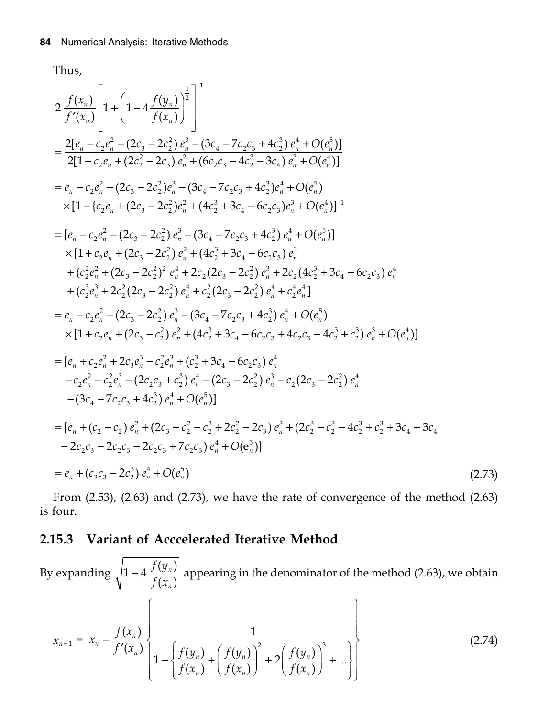Thus,

$$
2 \frac{f(x_n)}{f'(x_n)} \left[ 1 + \left( 1 - 4 \frac{f(y_n)}{f(x_n)} \right)^2 \right]^{-1}
$$
\n
$$
= \frac{2[e_n - c_2e_n^2 - (2c_3 - 2c_2^2)e_n^3 - (3c_4 - 7c_2c_3 + 4c_2^3)e_n^4 + O(e_n^5)]}{2[1 - c_2e_n + (2c_2^2 - 2c_3)e_n^2 + (6c_2c_3 - 4c_2^3 - 3c_4)e_n^3 + O(e_n^4)]}\n= e_n - c_2e_n^2 - (2c_3 - 2c_2^2)e_n^3 - (3c_4 - 7c_2c_3 + 4c_2^3)e_n^4 + O(e_n^5)
$$
\n
$$
\times [1 - \{c_2e_n + (2c_3 - 2c_2^2)e_n^2 + (4c_2^3 + 3c_4 - 6c_2c_3)e_n^3 + O(e_n^4)]^{-1}\n= [e_n - c_2e_n^2 - (2c_3 - 2c_2^2)e_n^3 + (3c_4 - 7c_2c_3 + 4c_2^3)e_n^4 + O(e_n^6)]
$$
\n
$$
\times [1 + c_2e_n + (2c_3 - 2c_2^2)e_n^3 + (4c_2^3 + 3c_4 - 6c_2c_3)e_n^3 + O(e_n^6)]\n= \{e_n - c_2e_n^2 - (2c_3 - 2c_2^2)e_n^3 + (4c_2^3 + 3c_4 - 6c_2c_3)e_n^3 + (c_2^2e_n^3 + 2c_2^2(2c_3 - 2c_2^2)e_n^4 + c_2^2(2c_3 - 2c_2^2)e_n^3 + c_2^2e_n^4]
$$
\n
$$
= e_n - c_2e_n^2 - (2c_3 - 2c_2^2)e_n^3 + (c_2^2(2c_3 - 2c_2^2)e_n^4 + c_2^4e_n^4]
$$
\n
$$
= e_n - c_2e_n^2 - (2c_3 - 2c_2^2)e_n^3 + (4c_2^3 + 3c_4 - 6c_2c_3 + 4c_2^3)e_n^4 + O(e_n^5)
$$
\n
$$
\times [1
$$

From  $(2.53)$ ,  $(2.63)$  and  $(2.73)$ , we have the rate of convergence of the method  $(2.63)$ is four.

#### 2.15.3 Variant of Acccelerated Iterative Method

By expanding  $\sqrt{1-4\frac{f(y_n)}{f(x)}}$  appearing in the denominator of the method (2.63), we obtain  $x_{n+1} = x_n - \frac{f(x_n)}{f'(x_n)} \left\{ \frac{1}{1 - \left\{ \frac{f(y_n)}{f(x_n)} + \left( \frac{f(y_n)}{f(x_n)} \right)^2 + 2 \left( \frac{f(y_n)}{f(x_n)} \right)^3 + \dots \right\}} \right\}$  $(2.74)$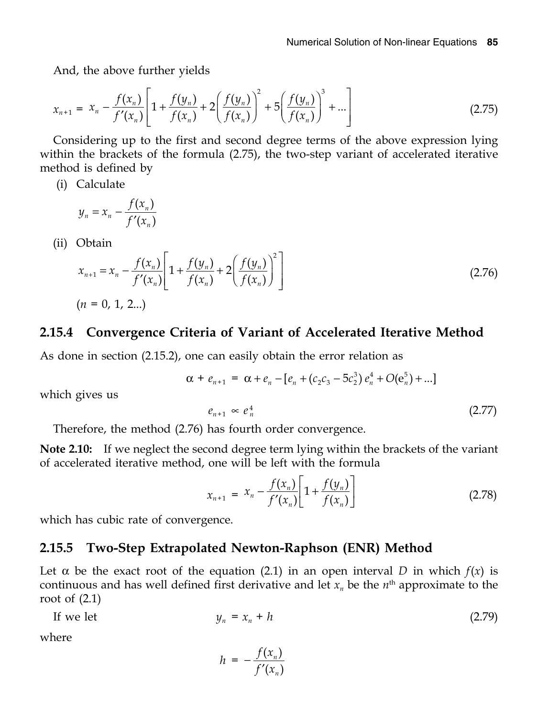And, the above further yields

$$
x_{n+1} = x_n - \frac{f(x_n)}{f'(x_n)} \left[ 1 + \frac{f(y_n)}{f(x_n)} + 2\left(\frac{f(y_n)}{f(x_n)}\right)^2 + 5\left(\frac{f(y_n)}{f(x_n)}\right)^3 + \dots \right]
$$
(2.75)

Considering up to the first and second degree terms of the above expression lying within the brackets of the formula (2.75), the two-step variant of accelerated iterative method is defined by

(i) Calculate

$$
y_n = x_n - \frac{f(x_n)}{f'(x_n)}
$$

(ii) Obtain

$$
x_{n+1} = x_n - \frac{f(x_n)}{f'(x_n)} \left[ 1 + \frac{f(y_n)}{f(x_n)} + 2 \left( \frac{f(y_n)}{f(x_n)} \right)^2 \right]
$$
\n
$$
(n = 0, 1, 2...)
$$
\n
$$
(2.76)
$$

#### **2.15.4 Convergence Criteria of Variant of Accelerated Iterative Method**

As done in section (2.15.2), one can easily obtain the error relation as

$$
\alpha + e_{n+1} = \alpha + e_n - [e_n + (c_2c_3 - 5c_2^3) e_n^4 + O(e_n^5) + ...]
$$

which gives us

$$
e_{n+1} \propto e_n^4 \tag{2.77}
$$

Therefore, the method (2.76) has fourth order convergence.

**Note 2.10:** If we neglect the second degree term lying within the brackets of the variant of accelerated iterative method, one will be left with the formula

$$
x_{n+1} = x_n - \frac{f(x_n)}{f'(x_n)} \left[ 1 + \frac{f(y_n)}{f(x_n)} \right]
$$
 (2.78)

which has cubic rate of convergence.

#### **2.15.5 Two-Step Extrapolated Newton-Raphson (ENR) Method**

Let  $\alpha$  be the exact root of the equation (2.1) in an open interval *D* in which  $f(x)$  is continuous and has well defined first derivative and let  $x_n$  be the  $n<sup>th</sup>$  approximate to the root of  $(2.1)$ 

If we let 
$$
y_n = x_n + h \tag{2.79}
$$

where

$$
h = -\frac{f(x_n)}{f'(x_n)}
$$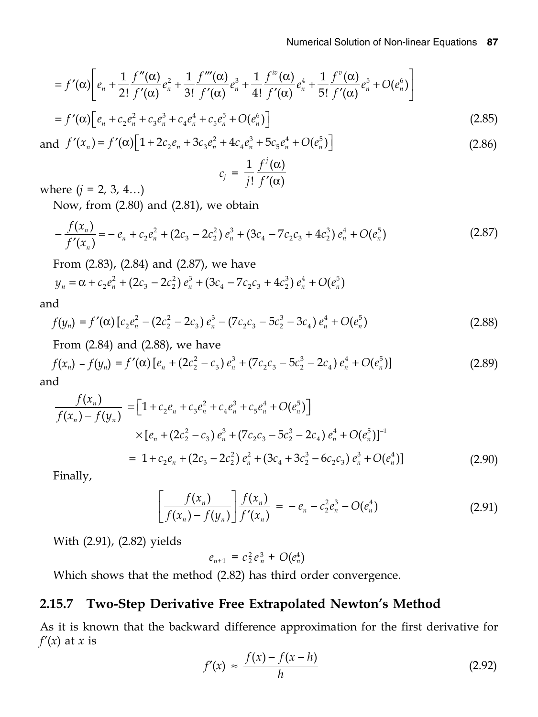$$
= f'(\alpha) \bigg[ e_n + \frac{1}{2!} \frac{f''(\alpha)}{f'(\alpha)} e_n^2 + \frac{1}{3!} \frac{f'''(\alpha)}{f'(\alpha)} e_n^3 + \frac{1}{4!} \frac{f^{iv}(\alpha)}{f'(\alpha)} e_n^4 + \frac{1}{5!} \frac{f^{v}(\alpha)}{f'(\alpha)} e_n^5 + O(e_n^6) \bigg]
$$
  
=  $f'(\alpha) \bigg[ e_n + c_2 e_n^2 + c_3 e_n^3 + c_4 e_n^4 + c_5 e_n^5 + O(e_n^6) \bigg]$  (2.85)

and  $f'(x_n) = f'(\alpha) \left[ 1 + 2c_2 e_n + 3c_3 e_n^2 + 4c_4 e_n^3 + 5c_5 e_n^4 + O(e_n^5) \right]$  $(2.86)$ 

$$
c_j = \frac{1}{j!} \frac{f'(\alpha)}{f'(\alpha)}
$$

where  $(j = 2, 3, 4...)$ 

Now, from (2.80) and (2.81), we obtain

$$
-\frac{f(x_n)}{f'(x_n)} = -e_n + c_2 e_n^2 + (2c_3 - 2c_2^2) e_n^3 + (3c_4 - 7c_2 c_3 + 4c_2^3) e_n^4 + O(e_n^5)
$$
\n(2.87)

From (2.83), (2.84) and (2.87), we have

$$
y_n = \alpha + c_2 e_n^2 + (2c_3 - 2c_2^2) e_n^3 + (3c_4 - 7c_2c_3 + 4c_2^3) e_n^4 + O(e_n^5)
$$

and

$$
f(y_n) = f'(\alpha) \left[ c_2 e_n^2 - (2c_2^2 - 2c_3) e_n^3 - (7c_2 c_3 - 5c_2^3 - 3c_4) e_n^4 + O(e_n^5) \right]
$$
 (2.88)

From  $(2.84)$  and  $(2.88)$ , we have

$$
f(x_n) - f(y_n) = f'(\alpha) \left[ e_n + (2c_2^2 - c_3) e_n^3 + (7c_2c_3 - 5c_2^3 - 2c_4) e_n^4 + O(e_n^5) \right]
$$
\n(2.89)

and

$$
\frac{f(x_n)}{f(x_n) - f(y_n)} = \left[1 + c_2 e_n + c_3 e_n^2 + c_4 e_n^3 + c_5 e_n^4 + O(e_n^5)\right]
$$
\n
$$
\times \left[e_n + (2c_2^2 - c_3) e_n^3 + (7c_2 c_3 - 5c_2^3 - 2c_4) e_n^4 + O(e_n^5)\right]^{-1}
$$
\n
$$
= 1 + c_2 e_n + (2c_3 - 2c_2^2) e_n^2 + (3c_4 + 3c_2^3 - 6c_2 c_3) e_n^3 + O(e_n^4)
$$
\n[12.90]

Finally,

$$
\left[\frac{f(x_n)}{f(x_n) - f(y_n)}\right] \frac{f(x_n)}{f'(x_n)} = -e_n - c_2^2 e_n^3 - O(e_n^4)
$$
\n(2.91)

With (2.91), (2.82) yields

$$
e_{n+1} = c_2^2 e_n^3 + O(e_n^4)
$$

Which shows that the method (2.82) has third order convergence.

### 2.15.7 Two-Step Derivative Free Extrapolated Newton's Method

As it is known that the backward difference approximation for the first derivative for  $f'(x)$  at x is

$$
f'(x) \approx \frac{f(x) - f(x - h)}{h} \tag{2.92}
$$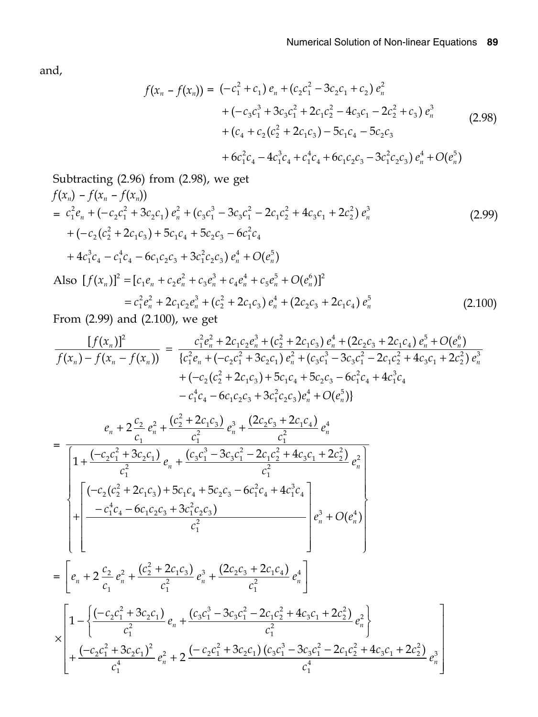and,

$$
f(x_n - f(x_n)) = (-c_1^2 + c_1) e_n + (c_2c_1^2 - 3c_2c_1 + c_2) e_n^2
$$
  
+ (-c\_3c\_1^3 + 3c\_3c\_1^2 + 2c\_1c\_2^2 - 4c\_3c\_1 - 2c\_2^2 + c\_3) e\_n^3  
+ (c\_4 + c\_2(c\_2^2 + 2c\_1c\_3) - 5c\_1c\_4 - 5c\_2c\_3  
+ 6c\_1^2c\_4 - 4c\_1^3c\_4 + c\_1^4c\_4 + 6c\_1c\_2c\_3 - 3c\_1^2c\_2c\_3) e\_n^4 + O(e\_n^5) (2.98)

Subtracting (2.96) from (2.98), we get  
\n
$$
f(x_n) - f(x_n - f(x_n))
$$
\n
$$
= c_1^2 e_n + (-c_2 c_1^2 + 3c_2 c_1) e_n^2 + (c_3 c_1^3 - 3c_3 c_1^2 - 2c_1 c_2^2 + 4c_3 c_1 + 2c_2^2) e_n^3
$$
\n
$$
+ (-c_2 (c_2^2 + 2c_1 c_3) + 5c_1 c_4 + 5c_2 c_3 - 6c_1^2 c_4 + 4c_1^3 c_4 - c_1^4 c_4 - 6c_1 c_2 c_3 + 3c_1^2 c_2 c_3) e_n^4 + O(e_n^5)
$$
\nAlso  $[f(x_n)]^2 = [c_1 e_n + c_2 e_n^2 + c_3 e_n^3 + c_4 e_n^4 + c_5 e_n^5 + O(e_n^6)]^2$  (2.99)

$$
= c_1^2 e_n^2 + 2c_1 c_2 e_n^3 + (c_2^2 + 2c_1 c_3) e_n^4 + (2c_2 c_3 + 2c_1 c_4) e_n^5
$$
 (2.100)  
From (2.99) and (2.100), we get

$$
\frac{[f(x_n)]^2}{f(x_n) - f(x_n - f(x_n))} = \frac{c_1^2 e_n^2 + 2c_1 c_2 e_n^3 + (c_2^2 + 2c_1 c_3) e_n^4 + (2c_2 c_3 + 2c_1 c_4) e_n^5 + O(e_n^6)}{\{c_1^2 e_n + (-c_2 c_1^2 + 3c_2 c_1) e_n^2 + (c_3 c_1^3 - 3c_3 c_1^2 - 2c_1 c_2^2 + 4c_3 c_1 + 2c_2^2) e_n^3 + (-c_2 (c_2^2 + 2c_1 c_3) + 5c_1 c_4 + 5c_2 c_3 - 6c_1^2 c_4 + 4c_1^3 c_4 - c_1^4 c_4 - 6c_1 c_2 c_3 + 3c_1^2 c_2 c_3 e_n^4 + O(e_n^5)\}
$$

$$
= \frac{e_n + 2\frac{c_2}{c_1}e_n^2 + \frac{(c_2^2 + 2c_1c_3)}{c_1^2}e_n^3 + \frac{(2c_2c_3 + 2c_1c_4)}{c_1^2}e_n^4}{\left[1 + \frac{(-c_2c_1^2 + 3c_2c_1)}{c_1^2}e_n + \frac{(c_3c_1^3 - 3c_3c_1^2 - 2c_1c_2^2 + 4c_3c_1 + 2c_2^2)}{c_1^2}e_n^2\right]}
$$
\n
$$
= \frac{\left[(-c_2(c_2^2 + 2c_1c_3) + 5c_1c_4 + 5c_2c_3 - 6c_1^2c_4 + 4c_1^3c_4\right]}{c_1^2}e_n^3 + O(e_n^4)\right]
$$
\n
$$
= \frac{\left[e_n + 2\frac{c_2}{c_1}e_n^2 + \frac{(c_2^2 + 2c_1c_3)}{c_1^2}e_n^3 + \frac{(2c_2c_3 + 2c_1c_4)}{c_1^2}e_n^4\right]}{c_1^2}e_n^3 + O(e_n^4)\right]
$$
\n
$$
\times \left[1 - \left\{\frac{(-c_2c_1^2 + 3c_2c_1)}{c_1^2}e_n + \frac{(c_3c_1^3 - 3c_3c_1^2 - 2c_1c_2^2 + 4c_3c_1 + 2c_2^2)}{c_1^2}e_n^2\right\} + \frac{(-c_2c_1^2 + 3c_2c_1)^2}{c_1^4}e_n^2 + 2\frac{(-c_2c_1^2 + 3c_2c_1)(c_3c_1^3 - 3c_3c_1^2 - 2c_1c_2^2 + 4c_3c_1 + 2c_2^2)}{c_1^4}e_n^3\right]
$$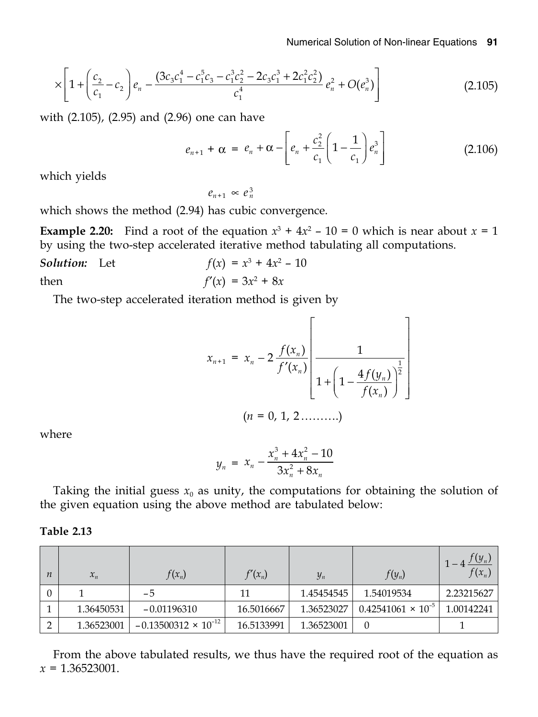$$
\times \left[1+\left(\frac{c_2}{c_1}-c_2\right)e_n-\frac{(3c_3c_1^4-c_1^5c_3-c_1^3c_2^2-2c_3c_1^3+2c_1^2c_2^2)}{c_1^4}e_n^2+O(e_n^3)\right]
$$
(2.105)

with (2.105), (2.95) and (2.96) one can have

$$
e_{n+1} + \alpha = e_n + \alpha - \left[ e_n + \frac{c_2^2}{c_1} \left( 1 - \frac{1}{c_1} \right) e_n^3 \right]
$$
 (2.106)

which yields

 $e_{n+1} \propto e_n^3$ 

which shows the method (2.94) has cubic convergence.

**Example 2.20:** Find a root of the equation  $x^3 + 4x^2 - 10 = 0$  which is near about  $x = 1$ by using the two-step accelerated iterative method tabulating all computations.

**Solution:** Let 
$$
f(x) = x^3 + 4x^2 - 10
$$
  
then  $f'(x) = 3x^2 + 8x$ 

The two-step accelerated iteration method is given by

$$
x_{n+1} = x_n - 2 \frac{f(x_n)}{f'(x_n)} \left[ \frac{1}{1 + \left(1 - \frac{4f(y_n)}{f(x_n)}\right)^{\frac{1}{2}}} \right]
$$
  
(*n* = 0, 1, 2 .........)

where

$$
y_n = x_n - \frac{x_n^3 + 4x_n^2 - 10}{3x_n^2 + 8x_n}
$$

Taking the initial guess  $x_0$  as unity, the computations for obtaining the solution of the given equation using the above method are tabulated below:

#### Table 2.13

| $\boldsymbol{n}$ | $x_n$      | $f(x_n)$                      | $f'(x_n)$  | $y_n$      | $f(y_n)$                    | $(y_n$<br>$f(x_n)$ |
|------------------|------------|-------------------------------|------------|------------|-----------------------------|--------------------|
|                  |            | -5                            | 11         | 1.45454545 | 1.54019534                  | 2.23215627         |
|                  | 1.36450531 | $-0.01196310$                 | 16.5016667 | 1.36523027 | $0.42541061 \times 10^{-5}$ | 1.00142241         |
|                  | 1.36523001 | $-0.13500312 \times 10^{-12}$ | 16.5133991 | 1.36523001 |                             |                    |

From the above tabulated results, we thus have the required root of the equation as  $x = 1.36523001.$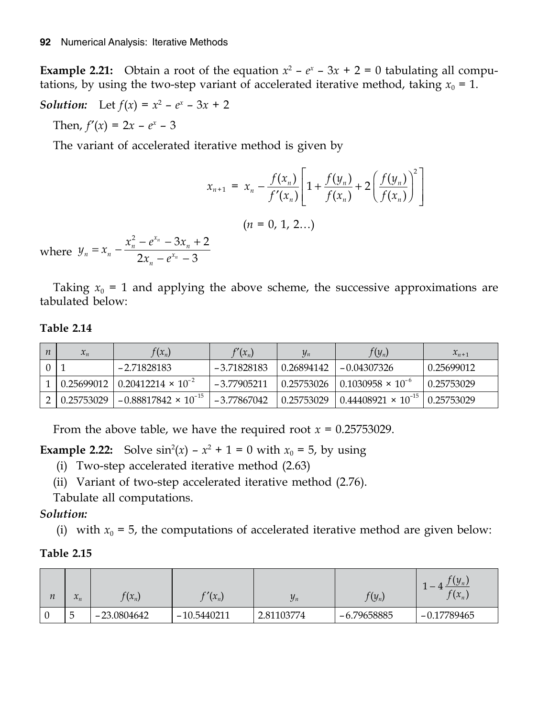**Example 2.21:** Obtain a root of the equation  $x^2 - e^x - 3x + 2 = 0$  tabulating all computations, by using the two-step variant of accelerated iterative method, taking  $x_0 = 1$ .

**Solution:** Let 
$$
f(x) = x^2 - e^x - 3x + 2
$$

Then,  $f'(x) = 2x - e^x - 3$ 

The variant of accelerated iterative method is given by

$$
x_{n+1} = x_n - \frac{f(x_n)}{f'(x_n)} \left[ 1 + \frac{f(y_n)}{f(x_n)} + 2 \left( \frac{f(y_n)}{f(x_n)} \right)^2 \right]
$$
  
\nwhere  $y_n = x_n - \frac{x_n^2 - e^{x_n} - 3x_n + 2}{2x_n - e^{x_n} - 3}$  (n = 0, 1, 2...)

Taking  $x_0 = 1$  and applying the above scheme, the successive approximations are tabulated below:

#### **Table 2.14**

| $\boldsymbol{n}$ | $x_n$      | $f(x_n)$                                                 | $f'(x_n)$     | $\mathcal{Y}_n$ | $f(y_n)$                      | $x_{n+1}$  |
|------------------|------------|----------------------------------------------------------|---------------|-----------------|-------------------------------|------------|
|                  |            | -2.71828183                                              | $-3.71828183$ | 0.26894142      | $-0.04307326$                 | 0.25699012 |
|                  |            | $\vert 0.25699012 \vert 0.20412214 \times 10^{-2} \vert$ | $-3.77905211$ | 0.25753026      | $10.1030958 \times 10^{-6}$   | 0.25753029 |
|                  | 0.25753029 | $-0.88817842 \times 10^{-15}$                            | $-3.77867042$ | 0.25753029      | $10.44408921 \times 10^{-15}$ | 0.25753029 |

From the above table, we have the required root  $x = 0.25753029$ .

**Example 2.22:** Solve  $\sin^2(x) - x^2 + 1 = 0$  with  $x_0 = 5$ , by using

- (i) Two-step accelerated iterative method (2.63)
- (ii) Variant of two-step accelerated iterative method (2.76).

Tabulate all computations.

#### *Solution:*

(i) with  $x_0 = 5$ , the computations of accelerated iterative method are given below:

#### **Table 2.15**

| $\boldsymbol{n}$ | $\mathbf{A}$<br>$\mathcal{N}_n$ | $f(x_n)$      | $\gamma(x_n)$ | $y_n$      | $f(y_n)$      | $f(y_n)$<br>$f(x_n)$ |
|------------------|---------------------------------|---------------|---------------|------------|---------------|----------------------|
|                  | 'n<br>w                         | $-23.0804642$ | $-10.5440211$ | 2.81103774 | $-6.79658885$ | $-0.17789465$        |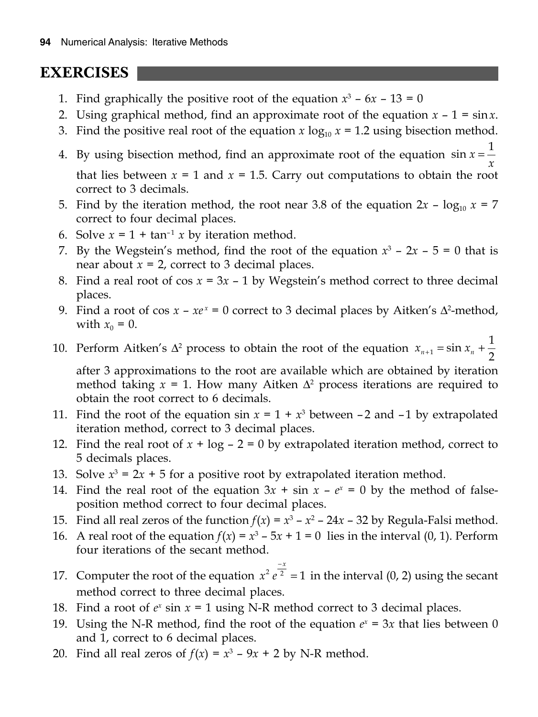## **EXERCISES**

- 1. Find graphically the positive root of the equation  $x^3 6x 13 = 0$
- 2. Using graphical method, find an approximate root of the equation  $x 1 = \sin x$ .
- 3. Find the positive real root of the equation  $x \log_{10} x = 1.2$  using bisection method.
- 4. By using bisection method, find an approximate root of the equation  $\sin x = \frac{1}{x}$  $\sin x = \frac{1}{x}$ that lies between  $x = 1$  and  $x = 1.5$ . Carry out computations to obtain the root correct to 3 decimals.
- 5. Find by the iteration method, the root near 3.8 of the equation  $2x \log_{10} x = 7$ correct to four decimal places.
- 6. Solve  $x = 1 + \tan^{-1} x$  by iteration method.
- 7. By the Wegstein's method, find the root of the equation  $x^3 2x 5 = 0$  that is near about  $x = 2$ , correct to 3 decimal places.
- 8. Find a real root of  $\cos x = 3x 1$  by Wegstein's method correct to three decimal places.
- 9. Find a root of  $\cos x xe^x = 0$  correct to 3 decimal places by Aitken's  $\Delta^2$ -method, with  $x_0 = 0$ .
- 10. Perform Aitken's  $\Delta^2$  process to obtain the root of the equation  $x_{n+1} = \sin x_n + \frac{1}{2}$

after 3 approximations to the root are available which are obtained by iteration method taking  $x = 1$ . How many Aitken  $\Delta^2$  process iterations are required to obtain the root correct to 6 decimals.

- 11. Find the root of the equation  $\sin x = 1 + x^3$  between  $-2$  and  $-1$  by extrapolated iteration method, correct to 3 decimal places.
- 12. Find the real root of  $x + \log 2 = 0$  by extrapolated iteration method, correct to 5 decimals places.
- 13. Solve  $x^3 = 2x + 5$  for a positive root by extrapolated iteration method.
- 14. Find the real root of the equation  $3x + \sin x e^x = 0$  by the method of falseposition method correct to four decimal places.
- 15. Find all real zeros of the function  $f(x) = x^3 x^2 24x 32$  by Regula-Falsi method.
- 16. A real root of the equation  $f(x) = x^3 5x + 1 = 0$  lies in the interval (0, 1). Perform four iterations of the secant method.
- 17. Computer the root of the equation  $x^2 e^{\frac{-x}{2}} = 1$  $= 1$  in the interval  $(0, 2)$  using the secant method correct to three decimal places.
- 18. Find a root of  $e^x$  sin  $x = 1$  using N-R method correct to 3 decimal places.
- 19. Using the N-R method, find the root of the equation  $e^x = 3x$  that lies between 0 and 1, correct to 6 decimal places.
- 20. Find all real zeros of  $f(x) = x^3 9x + 2$  by N-R method.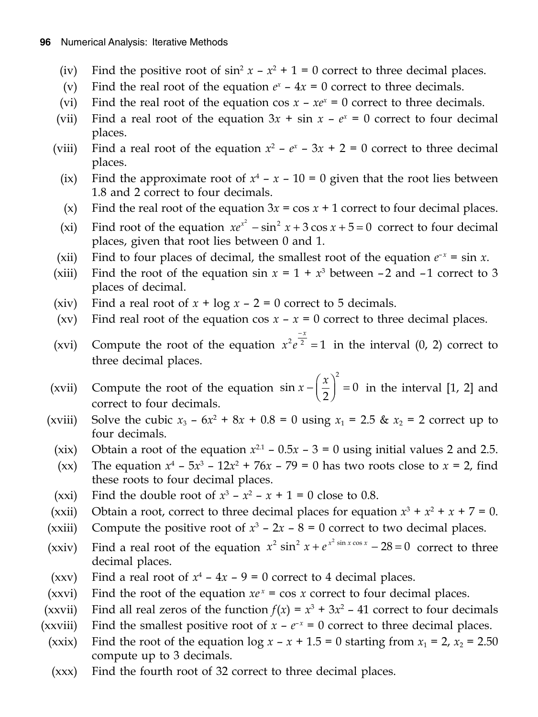- (iv) Find the positive root of  $\sin^2 x x^2 + 1 = 0$  correct to three decimal places.
- (v) Find the real root of the equation  $e^x 4x = 0$  correct to three decimals.
- (vi) Find the real root of the equation cos  $x xe^x = 0$  correct to three decimals.
- (vii) Find a real root of the equation  $3x + \sin x e^x = 0$  correct to four decimal places.
- (viii) Find a real root of the equation  $x^2 e^x 3x + 2 = 0$  correct to three decimal places.
	- (ix) Find the approximate root of  $x^4 x 10 = 0$  given that the root lies between 1.8 and 2 correct to four decimals.
	- (x) Find the real root of the equation  $3x = \cos x + 1$  correct to four decimal places.
- (xi) Find root of the equation  $xe^{x^2} \sin^2 x + 3 \cos x + 5 = 0$  correct to four decimal places, given that root lies between 0 and 1.
- (xii) Find to four places of decimal, the smallest root of the equation  $e^{-x} = \sin x$ .
- (xiii) Find the root of the equation  $\sin x = 1 + x^3$  between  $-2$  and  $-1$  correct to 3 places of decimal.
- (xiv) Find a real root of  $x + \log x 2 = 0$  correct to 5 decimals.
- (xv) Find real root of the equation cos  $x x = 0$  correct to three decimal places.
- (xvi) Compute the root of the equation  $x^2 e^{\frac{-x}{2}} = 1$  $= 1$  in the interval  $(0, 2)$  correct to three decimal places.
- (xvii) Compute the root of the equation  $\sin x \frac{x}{2}$ 2  $\sin x - \left| \frac{x}{2} \right| = 0$  $-\left(\frac{x}{2}\right)^2 = 0$  in the interval [1, 2] and correct to four decimals.
- (xviii) Solve the cubic  $x_3 6x^2 + 8x + 0.8 = 0$  using  $x_1 = 2.5$  &  $x_2 = 2$  correct up to four decimals.
	- (xix) Obtain a root of the equation  $x^{2.1}$  0.5 $x$  3 = 0 using initial values 2 and 2.5.
	- (xx) The equation  $x^4 5x^3 12x^2 + 76x 79 = 0$  has two roots close to  $x = 2$ , find these roots to four decimal places.
- (xxi) Find the double root of  $x^3 x^2 x + 1 = 0$  close to 0.8.
- (xxii) Obtain a root, correct to three decimal places for equation  $x^3 + x^2 + x + 7 = 0$ .
- (xxiii) Compute the positive root of  $x^3 2x 8 = 0$  correct to two decimal places.
- (xxiv) Find a real root of the equation  $x^2 \sin^2 x + e^{x^2 \sin x \cos x} 28 = 0$  correct to three decimal places.
- (xxv) Find a real root of  $x^4 4x 9 = 0$  correct to 4 decimal places.
- (xxvi) Find the root of the equation  $xe^x = \cos x$  correct to four decimal places.
- (xxvii) Find all real zeros of the function  $f(x) = x^3 + 3x^2 41$  correct to four decimals
- (xxviii) Find the smallest positive root of  $x e^{-x} = 0$  correct to three decimal places.
- (xxix) Find the root of the equation  $\log x x + 1.5 = 0$  starting from  $x_1 = 2$ ,  $x_2 = 2.50$ compute up to 3 decimals.
	- (xxx) Find the fourth root of 32 correct to three decimal places.